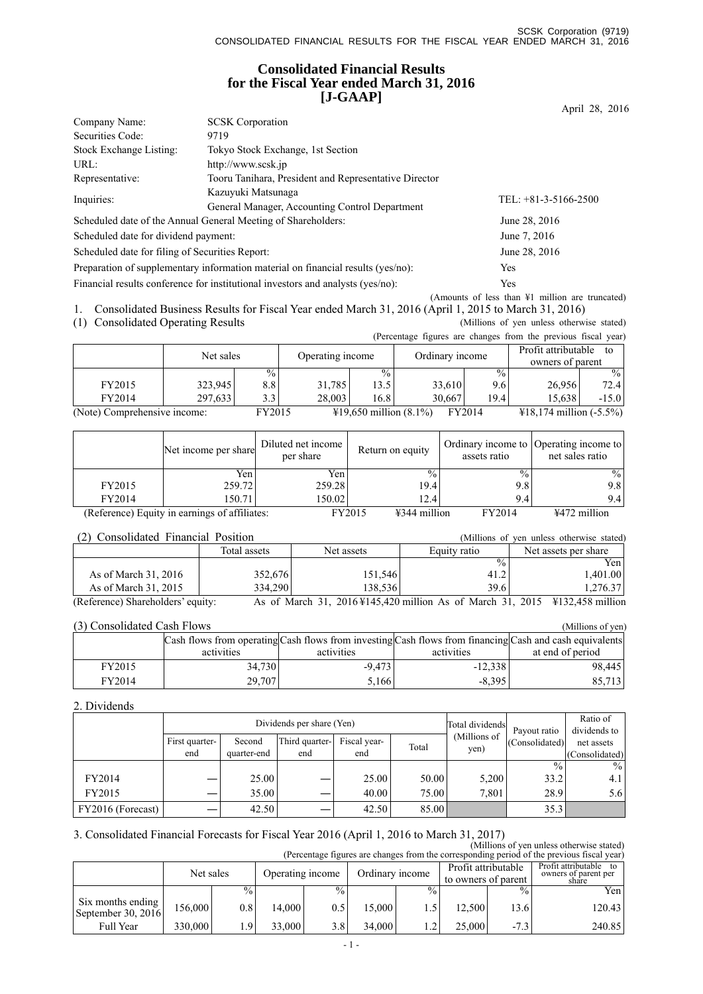# **Consolidated Financial Results for the Fiscal Year ended March 31, 2016 [J-GAAP]**

| Company Name:                                   | <b>SCSK</b> Corporation                                                          |                        |
|-------------------------------------------------|----------------------------------------------------------------------------------|------------------------|
| Securities Code:                                | 9719                                                                             |                        |
| Stock Exchange Listing:                         | Tokyo Stock Exchange, 1st Section                                                |                        |
| URL:                                            | http://www.scsk.jp                                                               |                        |
| Representative:                                 | Tooru Tanihara, President and Representative Director                            |                        |
| Inquiries:                                      | Kazuyuki Matsunaga                                                               | TEL: $+81-3-5166-2500$ |
|                                                 | General Manager, Accounting Control Department                                   |                        |
|                                                 | Scheduled date of the Annual General Meeting of Shareholders:                    | June 28, 2016          |
| Scheduled date for dividend payment:            |                                                                                  | June 7, 2016           |
| Scheduled date for filing of Securities Report: |                                                                                  | June 28, 2016          |
|                                                 | Preparation of supplementary information material on financial results (yes/no): | Yes                    |
|                                                 | Financial results conference for institutional investors and analysts (yes/no):  | Yes                    |
|                                                 |                                                                                  |                        |

(Amounts of less than ¥1 million are truncated) 1. Consolidated Business Results for Fiscal Year ended March 31, 2016 (April 1, 2015 to March 31, 2016)

(1) Consolidated Operating Results (Millions of yen unless otherwise stated)

(Percentage figures are changes from the previous fiscal year)

|                              | $\mu$ credinage righted are enarged from the previous risear year. |               |                  |                                  |                 |               |                                               |         |  |
|------------------------------|--------------------------------------------------------------------|---------------|------------------|----------------------------------|-----------------|---------------|-----------------------------------------------|---------|--|
|                              | Net sales                                                          |               | Operating income |                                  | Ordinary income |               | Profit attributable<br>to<br>owners of parent |         |  |
|                              |                                                                    | $\frac{0}{0}$ |                  | $\frac{0}{0}$                    |                 | $\frac{0}{0}$ |                                               | $\%$    |  |
| FY2015                       | 323.945                                                            | 8.8           | 31.785           | 13.5                             | 33.610          | 9.61          | 26.956                                        | 72.4    |  |
| FY2014                       | 297.633                                                            | 3.3           | 28,003           | 16.8                             | 30.667          | 19.4          | 15.638                                        | $-15.0$ |  |
| (Note) Comprehensive income: |                                                                    | FY2015        |                  | $\text{\#19.650}$ million (8.1%) |                 | FY2014        | $\text{\#18,174}$ million (-5.5%)             |         |  |

|        | Net income per share                          | Diluted net income<br>per share | Return on equity                 | assets ratio  | Ordinary income to Operating income to<br>net sales ratio |
|--------|-----------------------------------------------|---------------------------------|----------------------------------|---------------|-----------------------------------------------------------|
|        | Yen                                           | Yen                             | $\frac{0}{0}$                    | $\frac{0}{0}$ | $\frac{0}{0}$                                             |
| FY2015 | 259.72                                        | 259.28                          | 19.4                             | 9.8           | 9.8                                                       |
| FY2014 | 150.71                                        | 150.02                          | 12.4                             | 9.4           | 9.4                                                       |
|        | (Reference) Equity in earnings of affiliates: |                                 | $\text{\#}344$ million<br>FY2015 | FY2014        | ¥472 million                                              |

### (2) Consolidated Financial Position (Millions of yen unless otherwise stated)

| $\sim$ 0.110 0.11 0.000 0.000 1.11 0.1000 1.000 1.000 1.000 1.000 1.000 1.000 1.000 1.000 1.000 1.000 1.000 1.000 1.000 1.000 1.000 1.000 1.000 1.000 1.000 1.000 1.000 1.000 1.000 1.000 1.000 1.000 1.000 1.000 1.000 1.000 1 |              |            |               |                                                                             |
|---------------------------------------------------------------------------------------------------------------------------------------------------------------------------------------------------------------------------------|--------------|------------|---------------|-----------------------------------------------------------------------------|
|                                                                                                                                                                                                                                 | Total assets | Net assets | Equity ratio  | Net assets per share                                                        |
|                                                                                                                                                                                                                                 |              |            | $\frac{0}{0}$ | Yen l                                                                       |
| As of March 31, 2016                                                                                                                                                                                                            | 352.676      | 151.546    | 41.2          | 1.401.00                                                                    |
| As of March 31, 2015                                                                                                                                                                                                            | 334.290      | 138.5361   | 39.6          | 1.276.37                                                                    |
| (Reference) Shareholders' equity:                                                                                                                                                                                               |              |            |               | As of March 31, 2016 ¥145,420 million As of March 31, 2015 ¥132,458 million |

## (3) Consolidated Cash Flows (Millions of yen)

| (3) Consonuated Cash Flows |            |            | UVIIIIIOIIS OI VEIL |                                                                                                         |
|----------------------------|------------|------------|---------------------|---------------------------------------------------------------------------------------------------------|
|                            |            |            |                     | Cash flows from operating Cash flows from investing Cash flows from financing Cash and cash equivalents |
|                            | activities | activities | activities          | at end of period                                                                                        |
| FY2015                     | 34.730     | $-9.473$   | $-12.338$           | 98.445                                                                                                  |
| FY2014                     | 29,707     | 5,166      | $-8.395$            | 85,713                                                                                                  |

### 2. Dividends

|                   |                |             | Dividends per share (Yen) | Total dividends | Payout ratio | Ratio of<br>dividends to |                |                |
|-------------------|----------------|-------------|---------------------------|-----------------|--------------|--------------------------|----------------|----------------|
|                   | First quarter- | Second      | Third quarter-            | Fiscal year-    | Total        | (Millions of             | (Consolidated) | net assets     |
|                   | end            | quarter-end | end                       | end             |              | yen)                     |                | (Consolidated) |
|                   |                |             |                           |                 |              |                          | $\frac{0}{0}$  | $\frac{0}{0}$  |
| FY2014            |                | 25.00       |                           | 25.00           | 50.00        | 5,200                    | 33.2           | 4.1            |
| FY2015            |                | 35.00       |                           | 40.00           | 75.00        | 7.801                    | 28.9           | 5.6            |
| FY2016 (Forecast) |                | 42.50       |                           | 42.50           | 85.00        |                          | 35.3           |                |

# 3. Consolidated Financial Forecasts for Fiscal Year 2016 (April 1, 2016 to March 31, 2017)

(Millions of yen unless otherwise stated) (Percentage figures are changes from the corresponding period of the previous fiscal year)

|                                         | Net sales<br>Operating income |                 | Ordinary income |                  | Profit attributable<br>to owners of parent |               | Profit attributable<br>owners of parent per<br>share |               |        |
|-----------------------------------------|-------------------------------|-----------------|-----------------|------------------|--------------------------------------------|---------------|------------------------------------------------------|---------------|--------|
|                                         |                               | $\frac{0}{0}$ . |                 | $\frac{0}{0}$ .  |                                            | $\frac{0}{2}$ |                                                      | $\frac{0}{6}$ | Yen    |
| Six months ending<br>September 30, 2016 | 156,000                       | 0.81            | 14.000          | 0.5              | 15.000                                     |               | 12.500                                               | 13.6          | 120.43 |
| <b>Full Year</b>                        | 330,000                       | . .9            | 33.000          | 3.8 <sub>1</sub> | 34,000                                     |               | 25.000                                               | $-7.3$        | 240.85 |

April 28, 2016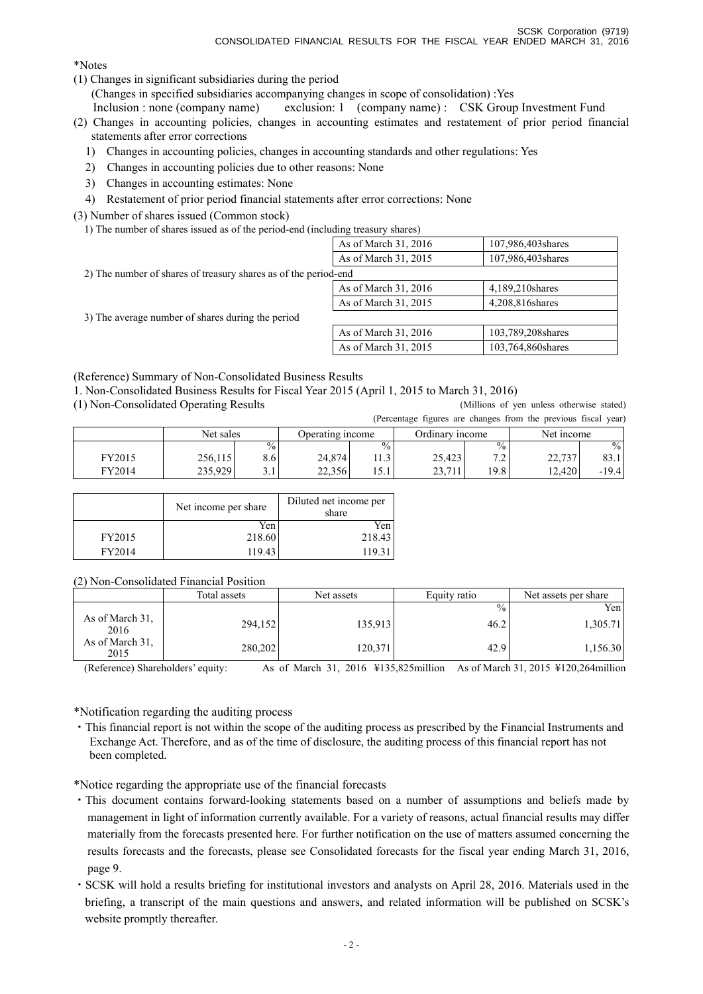\*Notes

(1) Changes in significant subsidiaries during the period

(Changes in specified subsidiaries accompanying changes in scope of consolidation) :Yes

Inclusion : none (company name) exclusion: 1 (company name) : CSK Group Investment Fund

(2) Changes in accounting policies, changes in accounting estimates and restatement of prior period financial statements after error corrections

- 1) Changes in accounting policies, changes in accounting standards and other regulations: Yes
- 2) Changes in accounting policies due to other reasons: None
- 3) Changes in accounting estimates: None
- 4) Restatement of prior period financial statements after error corrections: None

(3) Number of shares issued (Common stock)

1) The number of shares issued as of the period-end (including treasury shares)

| 107,986,403 shares   |
|----------------------|
| 107,986,403 shares   |
|                      |
| 4,189,210 shares     |
| 4,208,816 shares     |
|                      |
| 103,789,208 shares   |
| 103,764,860 shares   |
| As of March 31, 2016 |

(Reference) Summary of Non-Consolidated Business Results

1. Non-Consolidated Business Results for Fiscal Year 2015 (April 1, 2015 to March 31, 2016)

(1) Non-Consolidated Operating Results (Millions of yen unless otherwise stated)

(Percentage figures are changes from the previous fiscal year)

|        |           |               |                  |               |                 |                          | procedule righted are enanged from the previous fiscal | $, \mathsf{v}$ |
|--------|-----------|---------------|------------------|---------------|-----------------|--------------------------|--------------------------------------------------------|----------------|
|        | Net sales |               | Operating income |               | Ordinary income |                          | Net income                                             |                |
|        |           | $^{0}/_{0}$ . |                  | $\frac{0}{0}$ |                 | $\frac{0}{0}$            |                                                        | $\frac{0}{0}$  |
| FY2015 | 256,115   | 8.61          | 24,874           | 11.3          | 25,423          | 7 <sub>2</sub><br>ت که د | 22,737                                                 | 83.1           |
| FY2014 | 235,929   | ه. د          | 22,356           | 15.1          | 23,711          | 19.8                     | 12.420                                                 | $-19.4$        |

|        | Net income per share | Diluted net income per<br>share |  |
|--------|----------------------|---------------------------------|--|
|        | Yen                  | Yen                             |  |
| FY2015 | 218.60               | 218.43                          |  |
| FY2014 | 119.43               | 119.3                           |  |

(2) Non-Consolidated Financial Position

|                         | Total assets | Net assets | Equity ratio | Net assets per share |  |
|-------------------------|--------------|------------|--------------|----------------------|--|
|                         |              |            | $\%$         | Yen                  |  |
| As of March 31.<br>2016 | 294,152      | 135,913    | 46.2         | 1,305.71             |  |
| As of March 31.<br>2015 | 280,202      | 120,371    | 42.9         | 1,156.30             |  |

(Reference) Shareholders' equity: As of March 31, 2016 ¥135,825million As of March 31, 2015 ¥120,264million

\*Notification regarding the auditing process

・This financial report is not within the scope of the auditing process as prescribed by the Financial Instruments and Exchange Act. Therefore, and as of the time of disclosure, the auditing process of this financial report has not been completed.

\*Notice regarding the appropriate use of the financial forecasts

- ・This document contains forward-looking statements based on a number of assumptions and beliefs made by management in light of information currently available. For a variety of reasons, actual financial results may differ materially from the forecasts presented here. For further notification on the use of matters assumed concerning the results forecasts and the forecasts, please see Consolidated forecasts for the fiscal year ending March 31, 2016, page 9.
- ・SCSK will hold a results briefing for institutional investors and analysts on April 28, 2016. Materials used in the briefing, a transcript of the main questions and answers, and related information will be published on SCSK's website promptly thereafter.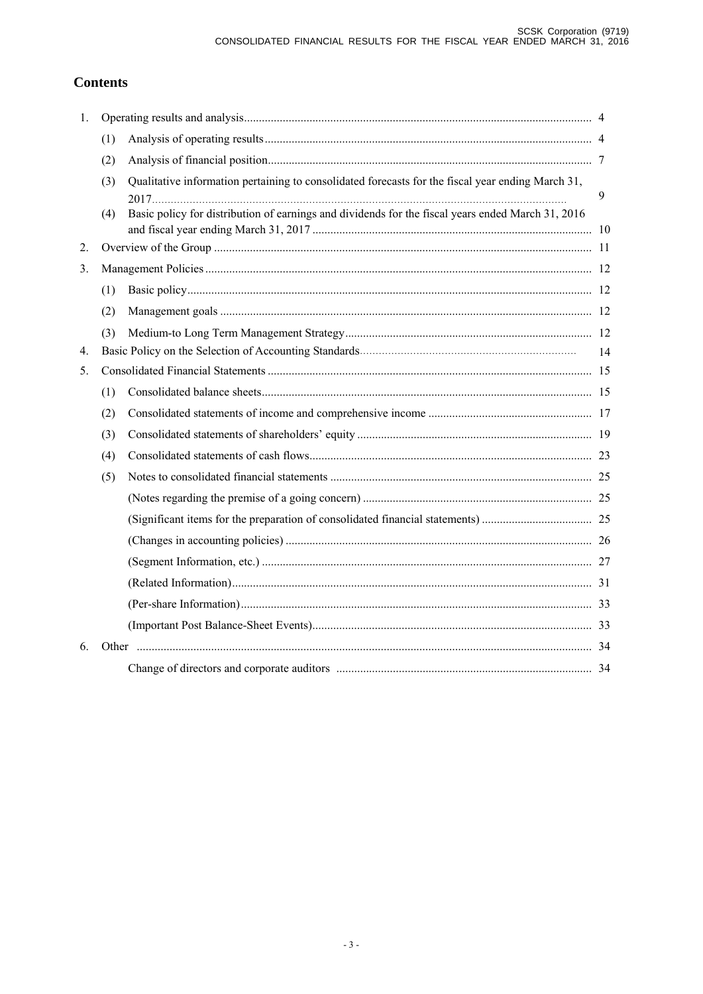# **Contents**

| 1.          |     |                                                                                                   |    |
|-------------|-----|---------------------------------------------------------------------------------------------------|----|
|             | (1) |                                                                                                   |    |
|             | (2) |                                                                                                   |    |
|             | (3) | Qualitative information pertaining to consolidated forecasts for the fiscal year ending March 31, | 9  |
|             | (4) | Basic policy for distribution of earnings and dividends for the fiscal years ended March 31, 2016 |    |
| 2.          |     |                                                                                                   |    |
| 3.          |     |                                                                                                   |    |
|             | (1) |                                                                                                   |    |
|             | (2) |                                                                                                   |    |
|             | (3) |                                                                                                   |    |
| $4_{\cdot}$ |     |                                                                                                   | 14 |
| 5.          |     |                                                                                                   |    |
|             | (1) |                                                                                                   |    |
|             | (2) |                                                                                                   |    |
|             | (3) |                                                                                                   |    |
|             | (4) |                                                                                                   |    |
|             | (5) |                                                                                                   |    |
|             |     |                                                                                                   |    |
|             |     |                                                                                                   |    |
|             |     |                                                                                                   |    |
|             |     |                                                                                                   |    |
|             |     |                                                                                                   |    |
|             |     |                                                                                                   |    |
|             |     |                                                                                                   |    |
| 6.          |     |                                                                                                   |    |
|             |     |                                                                                                   |    |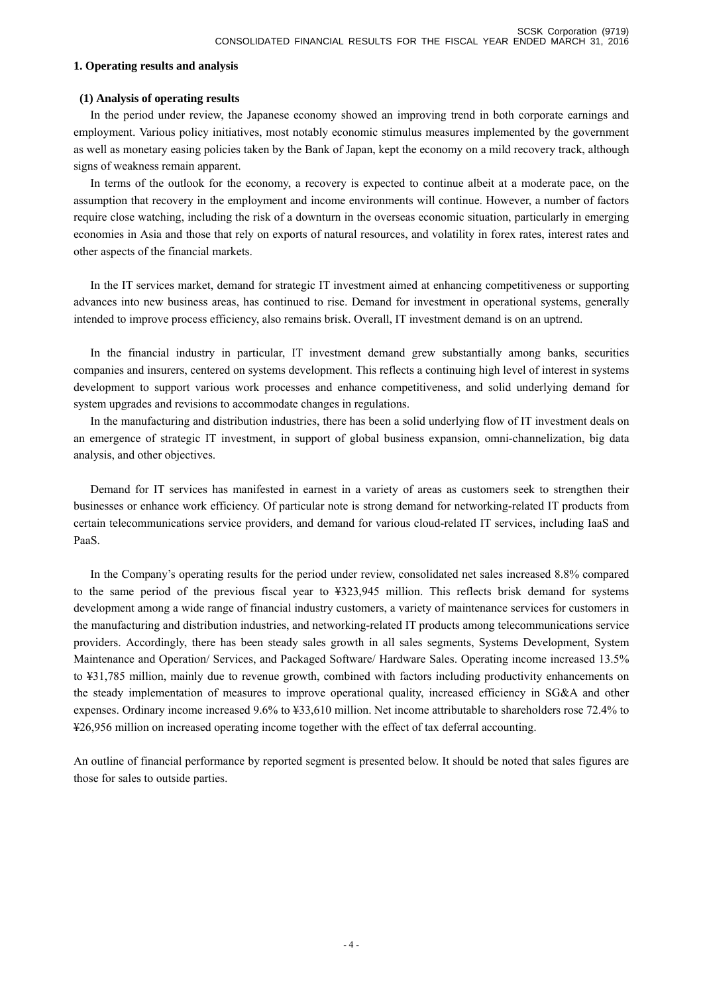### **1. Operating results and analysis**

## **(1) Analysis of operating results**

 In the period under review, the Japanese economy showed an improving trend in both corporate earnings and employment. Various policy initiatives, most notably economic stimulus measures implemented by the government as well as monetary easing policies taken by the Bank of Japan, kept the economy on a mild recovery track, although signs of weakness remain apparent.

 In terms of the outlook for the economy, a recovery is expected to continue albeit at a moderate pace, on the assumption that recovery in the employment and income environments will continue. However, a number of factors require close watching, including the risk of a downturn in the overseas economic situation, particularly in emerging economies in Asia and those that rely on exports of natural resources, and volatility in forex rates, interest rates and other aspects of the financial markets.

 In the IT services market, demand for strategic IT investment aimed at enhancing competitiveness or supporting advances into new business areas, has continued to rise. Demand for investment in operational systems, generally intended to improve process efficiency, also remains brisk. Overall, IT investment demand is on an uptrend.

 In the financial industry in particular, IT investment demand grew substantially among banks, securities companies and insurers, centered on systems development. This reflects a continuing high level of interest in systems development to support various work processes and enhance competitiveness, and solid underlying demand for system upgrades and revisions to accommodate changes in regulations.

 In the manufacturing and distribution industries, there has been a solid underlying flow of IT investment deals on an emergence of strategic IT investment, in support of global business expansion, omni-channelization, big data analysis, and other objectives.

 Demand for IT services has manifested in earnest in a variety of areas as customers seek to strengthen their businesses or enhance work efficiency. Of particular note is strong demand for networking-related IT products from certain telecommunications service providers, and demand for various cloud-related IT services, including IaaS and PaaS.

 In the Company's operating results for the period under review, consolidated net sales increased 8.8% compared to the same period of the previous fiscal year to ¥323,945 million. This reflects brisk demand for systems development among a wide range of financial industry customers, a variety of maintenance services for customers in the manufacturing and distribution industries, and networking-related IT products among telecommunications service providers. Accordingly, there has been steady sales growth in all sales segments, Systems Development, System Maintenance and Operation/ Services, and Packaged Software/ Hardware Sales. Operating income increased 13.5% to ¥31,785 million, mainly due to revenue growth, combined with factors including productivity enhancements on the steady implementation of measures to improve operational quality, increased efficiency in SG&A and other expenses. Ordinary income increased 9.6% to ¥33,610 million. Net income attributable to shareholders rose 72.4% to ¥26,956 million on increased operating income together with the effect of tax deferral accounting.

An outline of financial performance by reported segment is presented below. It should be noted that sales figures are those for sales to outside parties.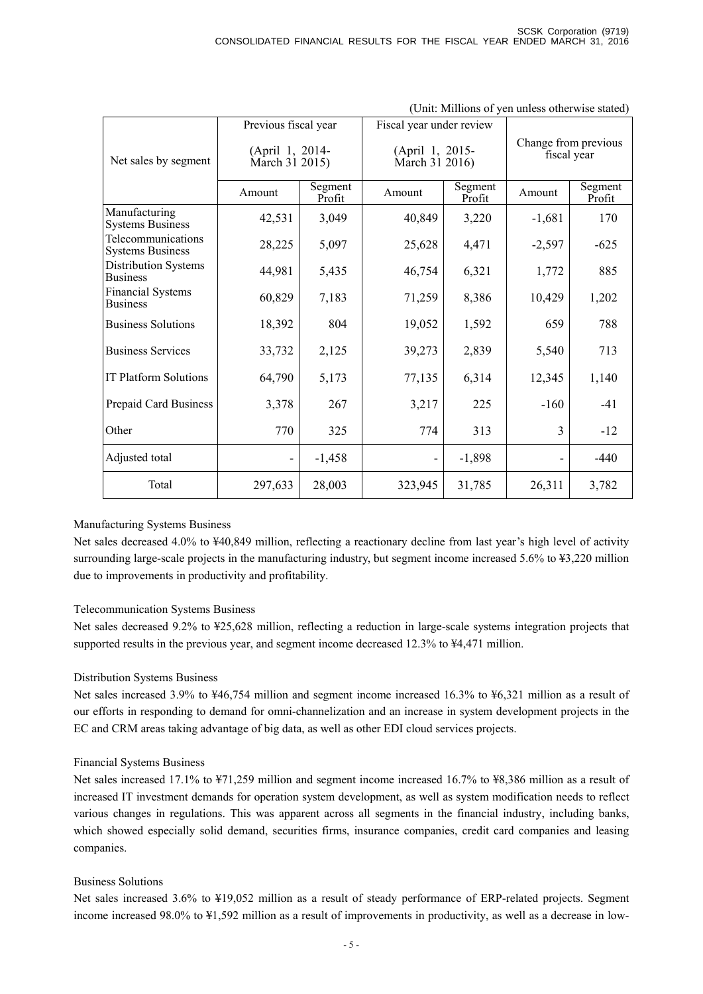| (Only <i>withous</i> of you unless otherwise stated) |                                   |                   |                                   |                   |                                     |                   |  |
|------------------------------------------------------|-----------------------------------|-------------------|-----------------------------------|-------------------|-------------------------------------|-------------------|--|
|                                                      | Previous fiscal year              |                   | Fiscal year under review          |                   |                                     |                   |  |
| Net sales by segment                                 | (April 1, 2014-<br>March 31 2015) |                   | (April 1, 2015-<br>March 31 2016) |                   | Change from previous<br>fiscal year |                   |  |
|                                                      | Amount                            | Segment<br>Profit | Amount                            | Segment<br>Profit | Amount                              | Segment<br>Profit |  |
| Manufacturing<br><b>Systems Business</b>             | 42,531                            | 3,049             | 40,849                            | 3,220             | $-1,681$                            | 170               |  |
| Telecommunications<br><b>Systems Business</b>        | 28,225                            | 5,097             | 25,628                            | 4,471             | $-2,597$                            | $-625$            |  |
| <b>Distribution Systems</b><br><b>Business</b>       | 44,981                            | 5,435             | 46,754                            | 6,321             | 1,772                               | 885               |  |
| <b>Financial Systems</b><br><b>Business</b>          | 60,829                            | 7,183             | 71,259                            | 8,386             | 10,429                              | 1,202             |  |
| <b>Business Solutions</b>                            | 18,392                            | 804               | 19,052                            | 1,592             | 659                                 | 788               |  |
| <b>Business Services</b>                             | 33,732                            | 2,125             | 39,273                            | 2,839             | 5,540                               | 713               |  |
| <b>IT Platform Solutions</b>                         | 64,790                            | 5,173             | 77,135                            | 6,314             | 12,345                              | 1,140             |  |
| Prepaid Card Business                                | 3,378                             | 267               | 3,217                             | 225               | $-160$                              | $-41$             |  |
| Other                                                | 770                               | 325               | 774                               | 313               | 3                                   | $-12$             |  |
| Adjusted total                                       | $\overline{\phantom{m}}$          | $-1,458$          | -                                 | $-1,898$          |                                     | $-440$            |  |
| Total                                                | 297,633                           | 28,003            | 323,945                           | 31,785            | 26,311                              | 3,782             |  |

### (Unit: Millions of yen unless otherwise stated)

### Manufacturing Systems Business

Net sales decreased 4.0% to ¥40,849 million, reflecting a reactionary decline from last year's high level of activity surrounding large-scale projects in the manufacturing industry, but segment income increased 5.6% to ¥3,220 million due to improvements in productivity and profitability.

### Telecommunication Systems Business

Net sales decreased 9.2% to ¥25,628 million, reflecting a reduction in large-scale systems integration projects that supported results in the previous year, and segment income decreased 12.3% to ¥4,471 million.

# Distribution Systems Business

Net sales increased 3.9% to ¥46,754 million and segment income increased 16.3% to ¥6,321 million as a result of our efforts in responding to demand for omni-channelization and an increase in system development projects in the EC and CRM areas taking advantage of big data, as well as other EDI cloud services projects.

### Financial Systems Business

Net sales increased 17.1% to ¥71,259 million and segment income increased 16.7% to ¥8,386 million as a result of increased IT investment demands for operation system development, as well as system modification needs to reflect various changes in regulations. This was apparent across all segments in the financial industry, including banks, which showed especially solid demand, securities firms, insurance companies, credit card companies and leasing companies.

### Business Solutions

Net sales increased 3.6% to ¥19,052 million as a result of steady performance of ERP-related projects. Segment income increased 98.0% to ¥1,592 million as a result of improvements in productivity, as well as a decrease in low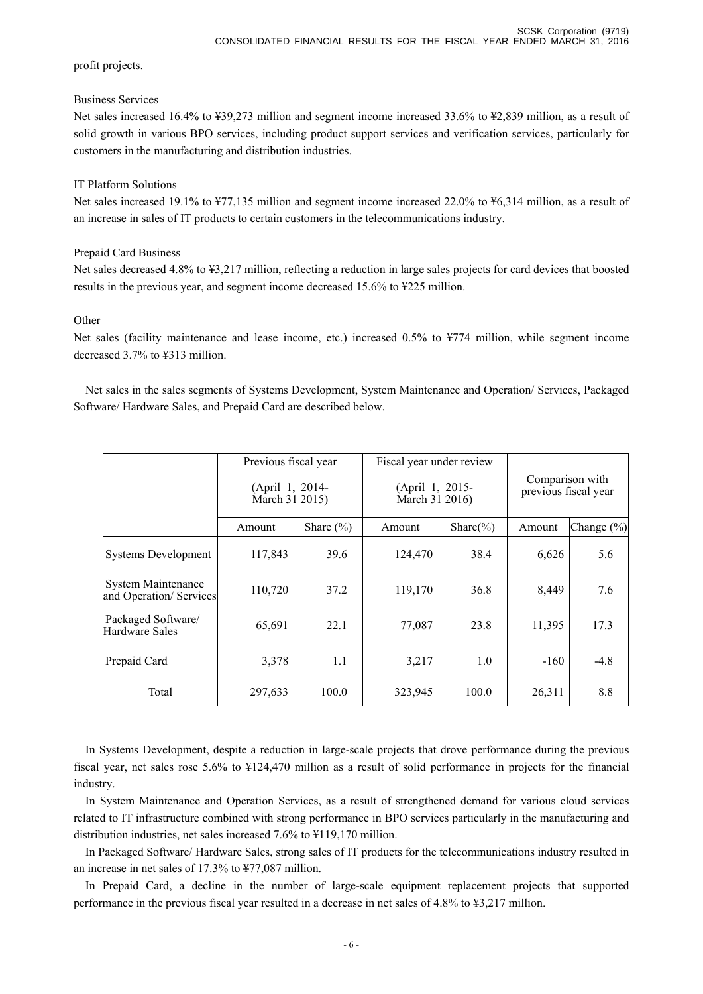profit projects.

## Business Services

Net sales increased 16.4% to ¥39,273 million and segment income increased 33.6% to ¥2,839 million, as a result of solid growth in various BPO services, including product support services and verification services, particularly for customers in the manufacturing and distribution industries.

# IT Platform Solutions

Net sales increased 19.1% to ¥77,135 million and segment income increased 22.0% to ¥6,314 million, as a result of an increase in sales of IT products to certain customers in the telecommunications industry.

# Prepaid Card Business

Net sales decreased 4.8% to ¥3,217 million, reflecting a reduction in large sales projects for card devices that boosted results in the previous year, and segment income decreased 15.6% to ¥225 million.

# **Other**

Net sales (facility maintenance and lease income, etc.) increased 0.5% to ¥774 million, while segment income decreased 3.7% to ¥313 million.

Net sales in the sales segments of Systems Development, System Maintenance and Operation/ Services, Packaged Software/ Hardware Sales, and Prepaid Card are described below.

|                                                     | Previous fiscal year<br>(April 1, 2014-<br>March 31 2015) |               | Fiscal year under review<br>(April 1, 2015-<br>March 31 2016) |               | Comparison with<br>previous fiscal year |            |
|-----------------------------------------------------|-----------------------------------------------------------|---------------|---------------------------------------------------------------|---------------|-----------------------------------------|------------|
|                                                     | Amount                                                    | Share $(\% )$ | Amount                                                        | Share $(\% )$ | Amount                                  | Change (%) |
| <b>Systems Development</b>                          | 117,843                                                   | 39.6          | 124,470                                                       | 38.4          | 6,626                                   | 5.6        |
| <b>System Maintenance</b><br>and Operation/Services | 110,720                                                   | 37.2          | 119,170                                                       | 36.8          | 8,449                                   | 7.6        |
| Packaged Software/<br>Hardware Sales                | 65,691                                                    | 22.1          | 77,087                                                        | 23.8          | 11,395                                  | 17.3       |
| Prepaid Card                                        | 3,378                                                     | 1.1           | 3,217                                                         | 1.0           | $-160$                                  | $-4.8$     |
| Total                                               | 297,633                                                   | 100.0         | 323,945                                                       | 100.0         | 26,311                                  | 8.8        |

In Systems Development, despite a reduction in large-scale projects that drove performance during the previous fiscal year, net sales rose 5.6% to ¥124,470 million as a result of solid performance in projects for the financial industry.

In System Maintenance and Operation Services, as a result of strengthened demand for various cloud services related to IT infrastructure combined with strong performance in BPO services particularly in the manufacturing and distribution industries, net sales increased 7.6% to ¥119,170 million.

In Packaged Software/ Hardware Sales, strong sales of IT products for the telecommunications industry resulted in an increase in net sales of 17.3% to ¥77,087 million.

In Prepaid Card, a decline in the number of large-scale equipment replacement projects that supported performance in the previous fiscal year resulted in a decrease in net sales of 4.8% to ¥3,217 million.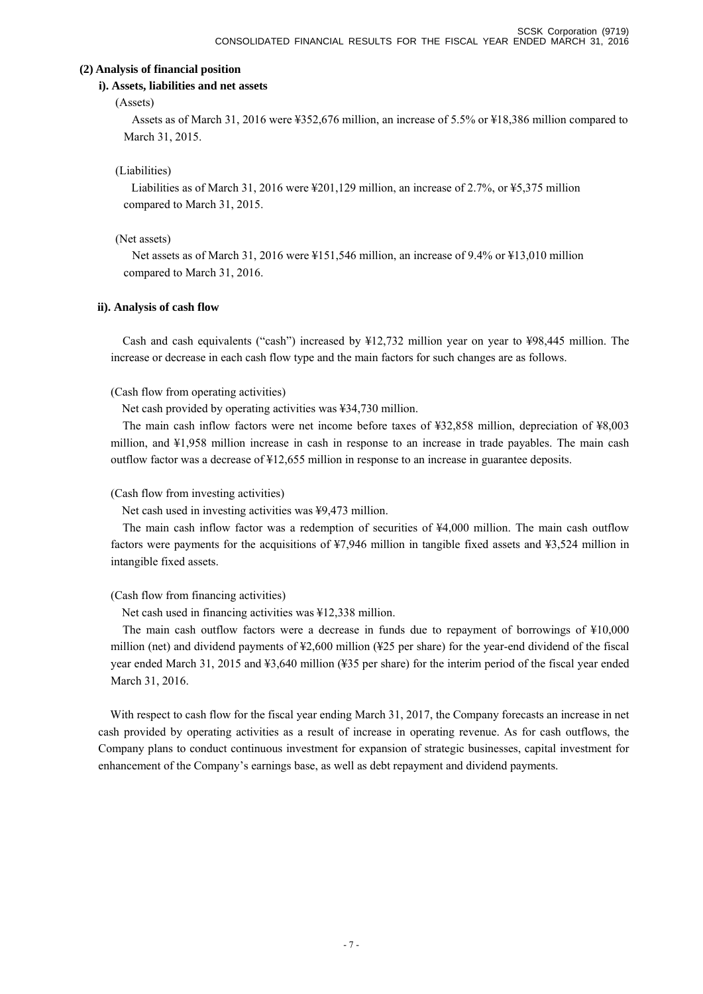### **(2) Analysis of financial position**

# **i). Assets, liabilities and net assets**

# (Assets)

Assets as of March 31, 2016 were ¥352,676 million, an increase of 5.5% or ¥18,386 million compared to March 31, 2015.

# (Liabilities)

Liabilities as of March 31, 2016 were ¥201,129 million, an increase of 2.7%, or ¥5,375 million compared to March 31, 2015.

# (Net assets)

Net assets as of March 31, 2016 were ¥151,546 million, an increase of 9.4% or ¥13,010 million compared to March 31, 2016.

# **ii). Analysis of cash flow**

Cash and cash equivalents ("cash") increased by ¥12,732 million year on year to ¥98,445 million. The increase or decrease in each cash flow type and the main factors for such changes are as follows.

# (Cash flow from operating activities)

Net cash provided by operating activities was ¥34,730 million.

The main cash inflow factors were net income before taxes of ¥32,858 million, depreciation of ¥8,003 million, and ¥1,958 million increase in cash in response to an increase in trade payables. The main cash outflow factor was a decrease of ¥12,655 million in response to an increase in guarantee deposits.

# (Cash flow from investing activities)

Net cash used in investing activities was ¥9,473 million.

The main cash inflow factor was a redemption of securities of ¥4,000 million. The main cash outflow factors were payments for the acquisitions of ¥7,946 million in tangible fixed assets and ¥3,524 million in intangible fixed assets.

# (Cash flow from financing activities)

Net cash used in financing activities was ¥12,338 million.

The main cash outflow factors were a decrease in funds due to repayment of borrowings of ¥10,000 million (net) and dividend payments of ¥2,600 million (¥25 per share) for the year-end dividend of the fiscal year ended March 31, 2015 and ¥3,640 million (¥35 per share) for the interim period of the fiscal year ended March 31, 2016.

With respect to cash flow for the fiscal year ending March 31, 2017, the Company forecasts an increase in net cash provided by operating activities as a result of increase in operating revenue. As for cash outflows, the Company plans to conduct continuous investment for expansion of strategic businesses, capital investment for enhancement of the Company's earnings base, as well as debt repayment and dividend payments.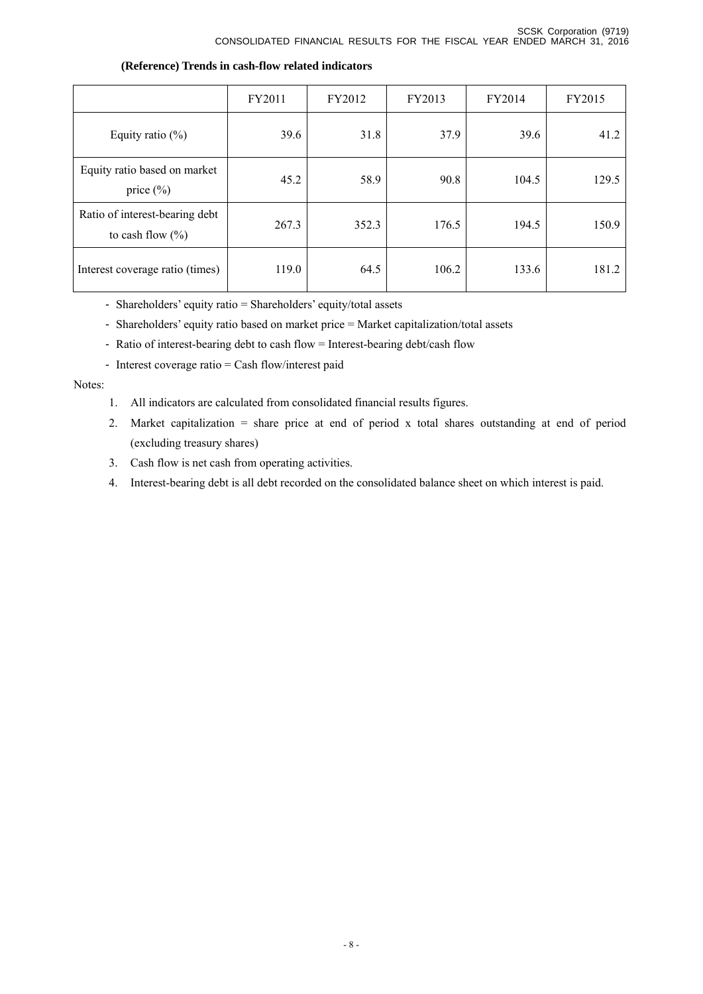|                                                        | FY2011 | FY2012 | FY2013 | FY2014 | FY2015 |
|--------------------------------------------------------|--------|--------|--------|--------|--------|
| Equity ratio $(\%)$                                    | 39.6   | 31.8   | 37.9   | 39.6   | 41.2   |
| Equity ratio based on market<br>price $(\% )$          | 45.2   | 58.9   | 90.8   | 104.5  | 129.5  |
| Ratio of interest-bearing debt<br>to cash flow $(\% )$ | 267.3  | 352.3  | 176.5  | 194.5  | 150.9  |
| Interest coverage ratio (times)                        | 119.0  | 64.5   | 106.2  | 133.6  | 181.2  |

## **(Reference) Trends in cash-flow related indicators**

- Shareholders' equity ratio = Shareholders' equity/total assets

- Shareholders' equity ratio based on market price = Market capitalization/total assets

- Ratio of interest-bearing debt to cash flow = Interest-bearing debt/cash flow
- Interest coverage ratio = Cash flow/interest paid

### Notes:

- 1. All indicators are calculated from consolidated financial results figures.
- 2. Market capitalization = share price at end of period x total shares outstanding at end of period (excluding treasury shares)
- 3. Cash flow is net cash from operating activities.
- 4. Interest-bearing debt is all debt recorded on the consolidated balance sheet on which interest is paid.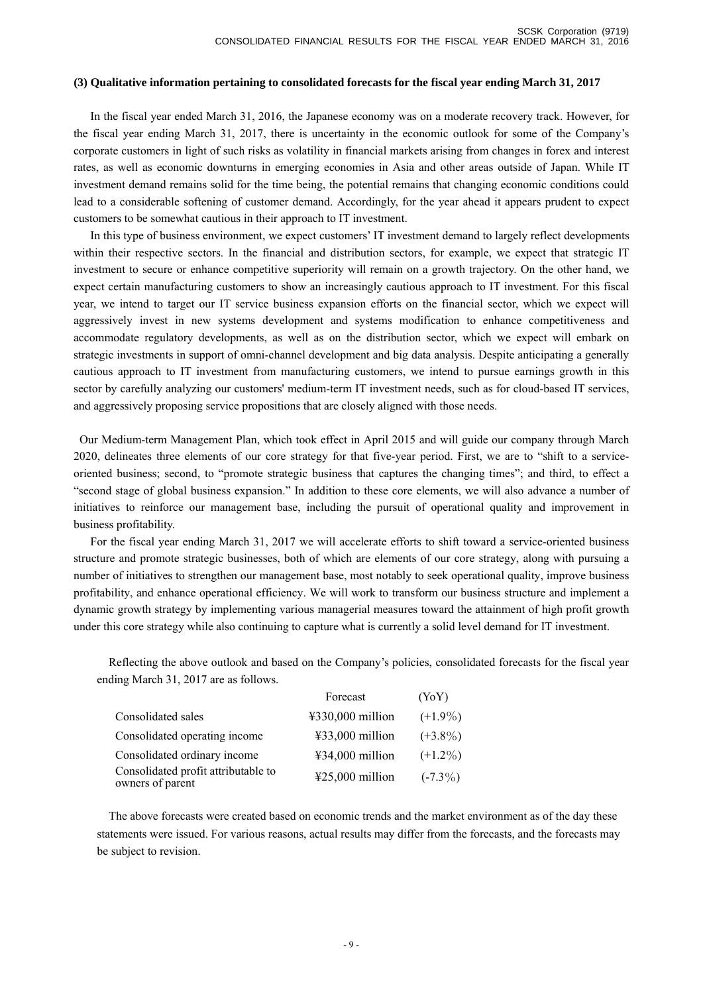### **(3) Qualitative information pertaining to consolidated forecasts for the fiscal year ending March 31, 2017**

 In the fiscal year ended March 31, 2016, the Japanese economy was on a moderate recovery track. However, for the fiscal year ending March 31, 2017, there is uncertainty in the economic outlook for some of the Company's corporate customers in light of such risks as volatility in financial markets arising from changes in forex and interest rates, as well as economic downturns in emerging economies in Asia and other areas outside of Japan. While IT investment demand remains solid for the time being, the potential remains that changing economic conditions could lead to a considerable softening of customer demand. Accordingly, for the year ahead it appears prudent to expect customers to be somewhat cautious in their approach to IT investment.

 In this type of business environment, we expect customers' IT investment demand to largely reflect developments within their respective sectors. In the financial and distribution sectors, for example, we expect that strategic IT investment to secure or enhance competitive superiority will remain on a growth trajectory. On the other hand, we expect certain manufacturing customers to show an increasingly cautious approach to IT investment. For this fiscal year, we intend to target our IT service business expansion efforts on the financial sector, which we expect will aggressively invest in new systems development and systems modification to enhance competitiveness and accommodate regulatory developments, as well as on the distribution sector, which we expect will embark on strategic investments in support of omni-channel development and big data analysis. Despite anticipating a generally cautious approach to IT investment from manufacturing customers, we intend to pursue earnings growth in this sector by carefully analyzing our customers' medium-term IT investment needs, such as for cloud-based IT services, and aggressively proposing service propositions that are closely aligned with those needs.

 Our Medium-term Management Plan, which took effect in April 2015 and will guide our company through March 2020, delineates three elements of our core strategy for that five-year period. First, we are to "shift to a serviceoriented business; second, to "promote strategic business that captures the changing times"; and third, to effect a "second stage of global business expansion." In addition to these core elements, we will also advance a number of initiatives to reinforce our management base, including the pursuit of operational quality and improvement in business profitability.

 For the fiscal year ending March 31, 2017 we will accelerate efforts to shift toward a service-oriented business structure and promote strategic businesses, both of which are elements of our core strategy, along with pursuing a number of initiatives to strengthen our management base, most notably to seek operational quality, improve business profitability, and enhance operational efficiency. We will work to transform our business structure and implement a dynamic growth strategy by implementing various managerial measures toward the attainment of high profit growth under this core strategy while also continuing to capture what is currently a solid level demand for IT investment.

Reflecting the above outlook and based on the Company's policies, consolidated forecasts for the fiscal year ending March 31, 2017 are as follows.

|                                                         | Forecast          | (YoY)      |
|---------------------------------------------------------|-------------------|------------|
| Consolidated sales                                      | ¥330,000 million  | $(+1.9\%)$ |
| Consolidated operating income                           | ¥33,000 million   | $(+3.8\%)$ |
| Consolidated ordinary income                            | ¥34,000 million   | $(+1.2\%)$ |
| Consolidated profit attributable to<br>owners of parent | $425,000$ million | $(-7.3\%)$ |

The above forecasts were created based on economic trends and the market environment as of the day these statements were issued. For various reasons, actual results may differ from the forecasts, and the forecasts may be subject to revision.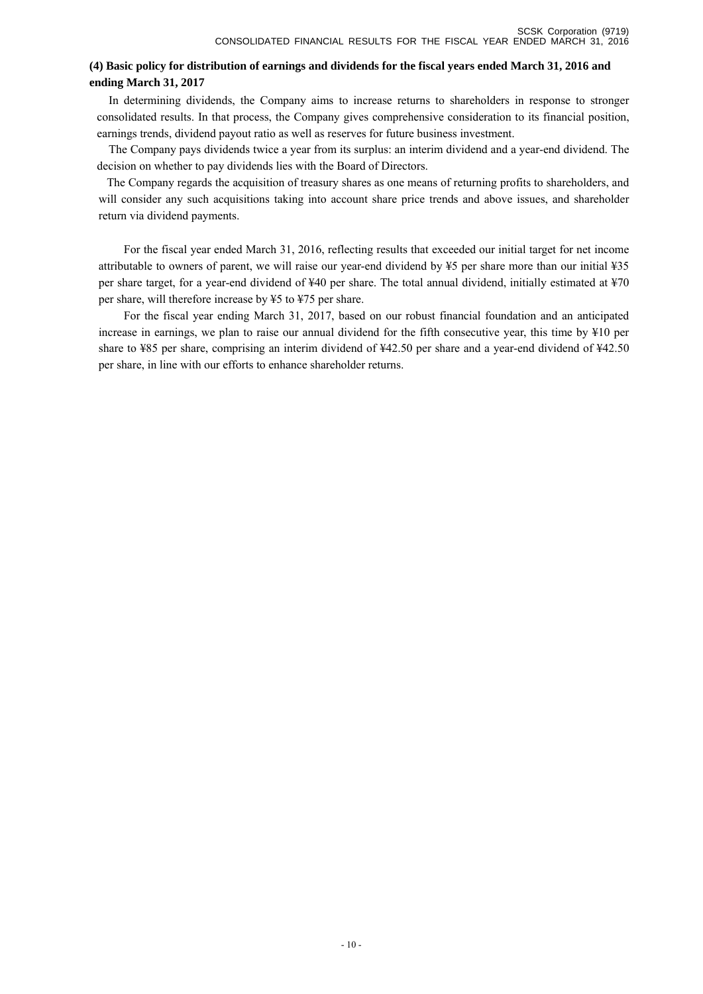# **(4) Basic policy for distribution of earnings and dividends for the fiscal years ended March 31, 2016 and ending March 31, 2017**

In determining dividends, the Company aims to increase returns to shareholders in response to stronger consolidated results. In that process, the Company gives comprehensive consideration to its financial position, earnings trends, dividend payout ratio as well as reserves for future business investment.

The Company pays dividends twice a year from its surplus: an interim dividend and a year-end dividend. The decision on whether to pay dividends lies with the Board of Directors.

The Company regards the acquisition of treasury shares as one means of returning profits to shareholders, and will consider any such acquisitions taking into account share price trends and above issues, and shareholder return via dividend payments.

 For the fiscal year ended March 31, 2016, reflecting results that exceeded our initial target for net income attributable to owners of parent, we will raise our year-end dividend by ¥5 per share more than our initial ¥35 per share target, for a year-end dividend of ¥40 per share. The total annual dividend, initially estimated at ¥70 per share, will therefore increase by ¥5 to ¥75 per share.

 For the fiscal year ending March 31, 2017, based on our robust financial foundation and an anticipated increase in earnings, we plan to raise our annual dividend for the fifth consecutive year, this time by ¥10 per share to ¥85 per share, comprising an interim dividend of ¥42.50 per share and a year-end dividend of ¥42.50 per share, in line with our efforts to enhance shareholder returns.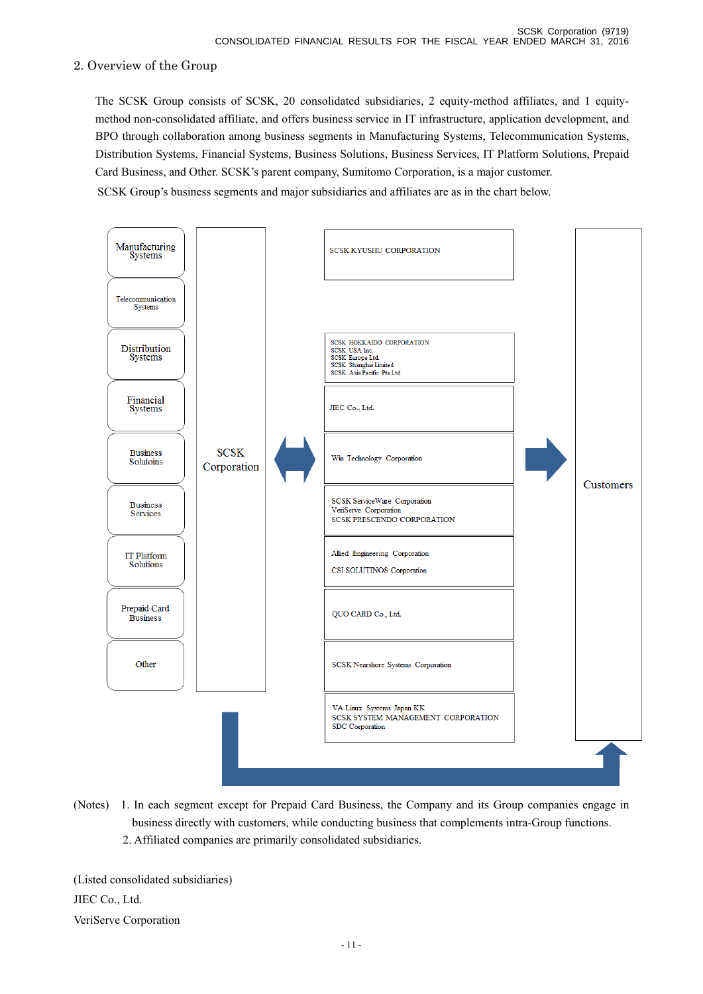# 2. Overview of the Group

 The SCSK Group consists of SCSK, 20 consolidated subsidiaries, 2 equity-method affiliates, and 1 equitymethod non-consolidated affiliate, and offers business service in IT infrastructure, application development, and BPO through collaboration among business segments in Manufacturing Systems, Telecommunication Systems, Distribution Systems, Financial Systems, Business Solutions, Business Services, IT Platform Solutions, Prepaid Card Business, and Other. SCSK's parent company, Sumitomo Corporation, is a major customer.

SCSK Group's business segments and major subsidiaries and affiliates are as in the chart below.



(Notes) 1. In each segment except for Prepaid Card Business, the Company and its Group companies engage in business directly with customers, while conducting business that complements intra-Group functions. 2. Affiliated companies are primarily consolidated subsidiaries.

(Listed consolidated subsidiaries) JIEC Co., Ltd. VeriServe Corporation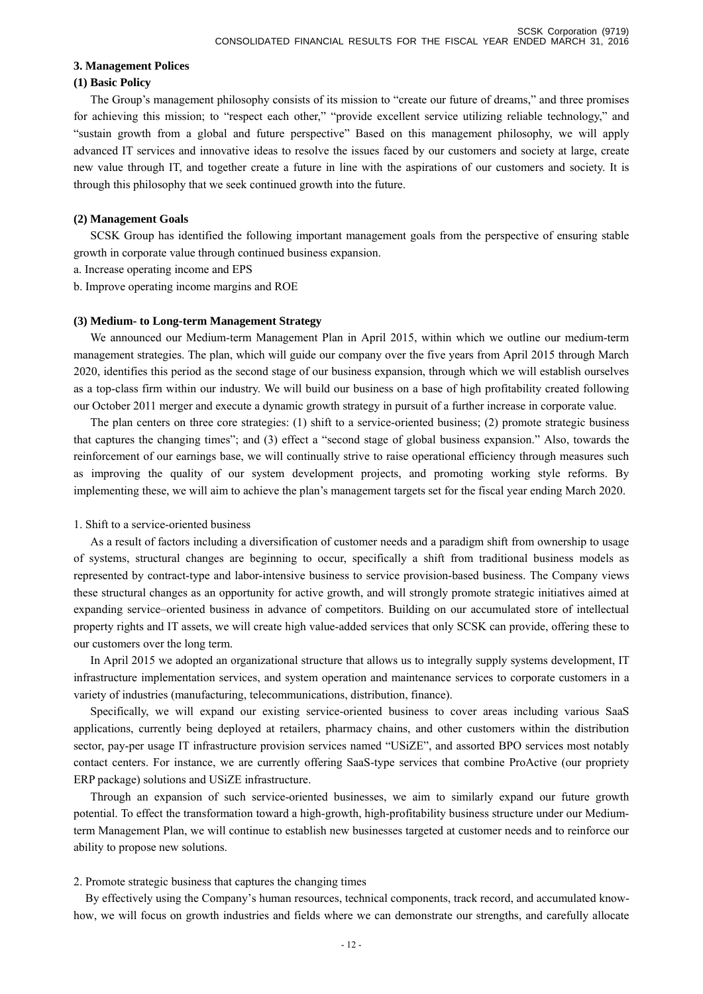### **3. Management Polices**

### **(1) Basic Policy**

 The Group's management philosophy consists of its mission to "create our future of dreams," and three promises for achieving this mission; to "respect each other," "provide excellent service utilizing reliable technology," and "sustain growth from a global and future perspective" Based on this management philosophy, we will apply advanced IT services and innovative ideas to resolve the issues faced by our customers and society at large, create new value through IT, and together create a future in line with the aspirations of our customers and society. It is through this philosophy that we seek continued growth into the future.

### **(2) Management Goals**

 SCSK Group has identified the following important management goals from the perspective of ensuring stable growth in corporate value through continued business expansion.

- a. Increase operating income and EPS
- b. Improve operating income margins and ROE

### **(3) Medium- to Long-term Management Strategy**

 We announced our Medium-term Management Plan in April 2015, within which we outline our medium-term management strategies. The plan, which will guide our company over the five years from April 2015 through March 2020, identifies this period as the second stage of our business expansion, through which we will establish ourselves as a top-class firm within our industry. We will build our business on a base of high profitability created following our October 2011 merger and execute a dynamic growth strategy in pursuit of a further increase in corporate value.

 The plan centers on three core strategies: (1) shift to a service-oriented business; (2) promote strategic business that captures the changing times"; and (3) effect a "second stage of global business expansion." Also, towards the reinforcement of our earnings base, we will continually strive to raise operational efficiency through measures such as improving the quality of our system development projects, and promoting working style reforms. By implementing these, we will aim to achieve the plan's management targets set for the fiscal year ending March 2020.

### 1. Shift to a service-oriented business

 As a result of factors including a diversification of customer needs and a paradigm shift from ownership to usage of systems, structural changes are beginning to occur, specifically a shift from traditional business models as represented by contract-type and labor-intensive business to service provision-based business. The Company views these structural changes as an opportunity for active growth, and will strongly promote strategic initiatives aimed at expanding service–oriented business in advance of competitors. Building on our accumulated store of intellectual property rights and IT assets, we will create high value-added services that only SCSK can provide, offering these to our customers over the long term.

 In April 2015 we adopted an organizational structure that allows us to integrally supply systems development, IT infrastructure implementation services, and system operation and maintenance services to corporate customers in a variety of industries (manufacturing, telecommunications, distribution, finance).

 Specifically, we will expand our existing service-oriented business to cover areas including various SaaS applications, currently being deployed at retailers, pharmacy chains, and other customers within the distribution sector, pay-per usage IT infrastructure provision services named "USiZE", and assorted BPO services most notably contact centers. For instance, we are currently offering SaaS-type services that combine ProActive (our propriety ERP package) solutions and USiZE infrastructure.

 Through an expansion of such service-oriented businesses, we aim to similarly expand our future growth potential. To effect the transformation toward a high-growth, high-profitability business structure under our Mediumterm Management Plan, we will continue to establish new businesses targeted at customer needs and to reinforce our ability to propose new solutions.

### 2. Promote strategic business that captures the changing times

By effectively using the Company's human resources, technical components, track record, and accumulated knowhow, we will focus on growth industries and fields where we can demonstrate our strengths, and carefully allocate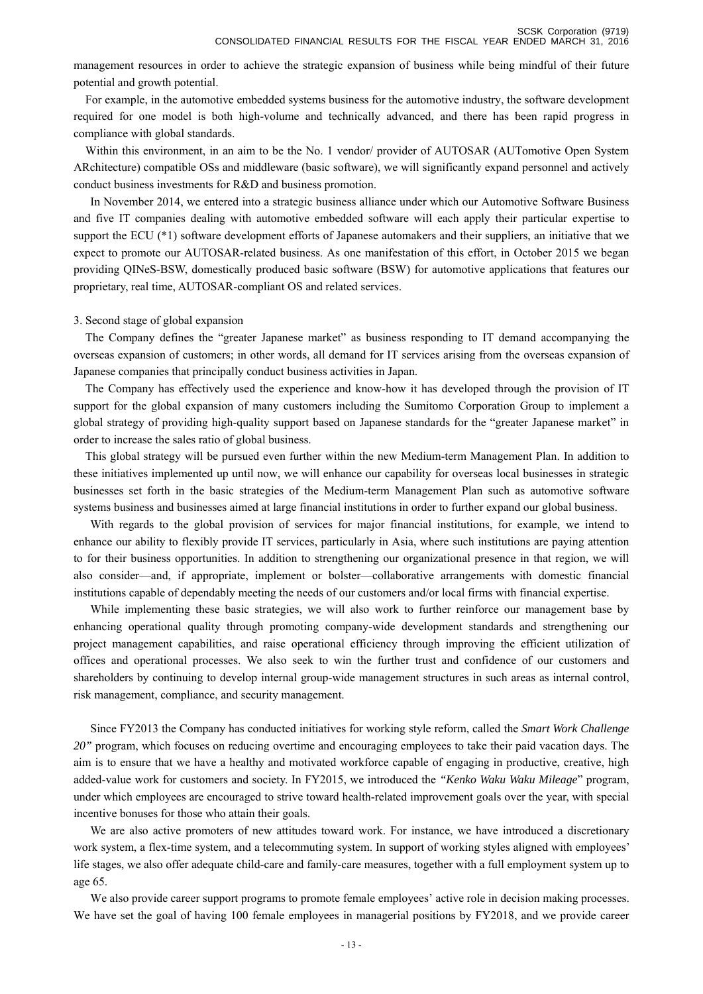management resources in order to achieve the strategic expansion of business while being mindful of their future

For example, in the automotive embedded systems business for the automotive industry, the software development required for one model is both high-volume and technically advanced, and there has been rapid progress in compliance with global standards.

Within this environment, in an aim to be the No. 1 vendor/ provider of AUTOSAR (AUTomotive Open System ARchitecture) compatible OSs and middleware (basic software), we will significantly expand personnel and actively conduct business investments for R&D and business promotion.

 In November 2014, we entered into a strategic business alliance under which our Automotive Software Business and five IT companies dealing with automotive embedded software will each apply their particular expertise to support the ECU (\*1) software development efforts of Japanese automakers and their suppliers, an initiative that we expect to promote our AUTOSAR-related business. As one manifestation of this effort, in October 2015 we began providing QINeS-BSW, domestically produced basic software (BSW) for automotive applications that features our proprietary, real time, AUTOSAR-compliant OS and related services.

#### 3. Second stage of global expansion

potential and growth potential.

The Company defines the "greater Japanese market" as business responding to IT demand accompanying the overseas expansion of customers; in other words, all demand for IT services arising from the overseas expansion of Japanese companies that principally conduct business activities in Japan.

The Company has effectively used the experience and know-how it has developed through the provision of IT support for the global expansion of many customers including the Sumitomo Corporation Group to implement a global strategy of providing high-quality support based on Japanese standards for the "greater Japanese market" in order to increase the sales ratio of global business.

This global strategy will be pursued even further within the new Medium-term Management Plan. In addition to these initiatives implemented up until now, we will enhance our capability for overseas local businesses in strategic businesses set forth in the basic strategies of the Medium-term Management Plan such as automotive software systems business and businesses aimed at large financial institutions in order to further expand our global business.

 With regards to the global provision of services for major financial institutions, for example, we intend to enhance our ability to flexibly provide IT services, particularly in Asia, where such institutions are paying attention to for their business opportunities. In addition to strengthening our organizational presence in that region, we will also consider—and, if appropriate, implement or bolster—collaborative arrangements with domestic financial institutions capable of dependably meeting the needs of our customers and/or local firms with financial expertise.

 While implementing these basic strategies, we will also work to further reinforce our management base by enhancing operational quality through promoting company-wide development standards and strengthening our project management capabilities, and raise operational efficiency through improving the efficient utilization of offices and operational processes. We also seek to win the further trust and confidence of our customers and shareholders by continuing to develop internal group-wide management structures in such areas as internal control, risk management, compliance, and security management.

 Since FY2013 the Company has conducted initiatives for working style reform, called the *Smart Work Challenge 20"* program, which focuses on reducing overtime and encouraging employees to take their paid vacation days. The aim is to ensure that we have a healthy and motivated workforce capable of engaging in productive, creative, high added-value work for customers and society. In FY2015, we introduced the *"Kenko Waku Waku Mileage*" program, under which employees are encouraged to strive toward health-related improvement goals over the year, with special incentive bonuses for those who attain their goals.

 We are also active promoters of new attitudes toward work. For instance, we have introduced a discretionary work system, a flex-time system, and a telecommuting system. In support of working styles aligned with employees' life stages, we also offer adequate child-care and family-care measures, together with a full employment system up to age 65.

 We also provide career support programs to promote female employees' active role in decision making processes. We have set the goal of having 100 female employees in managerial positions by FY2018, and we provide career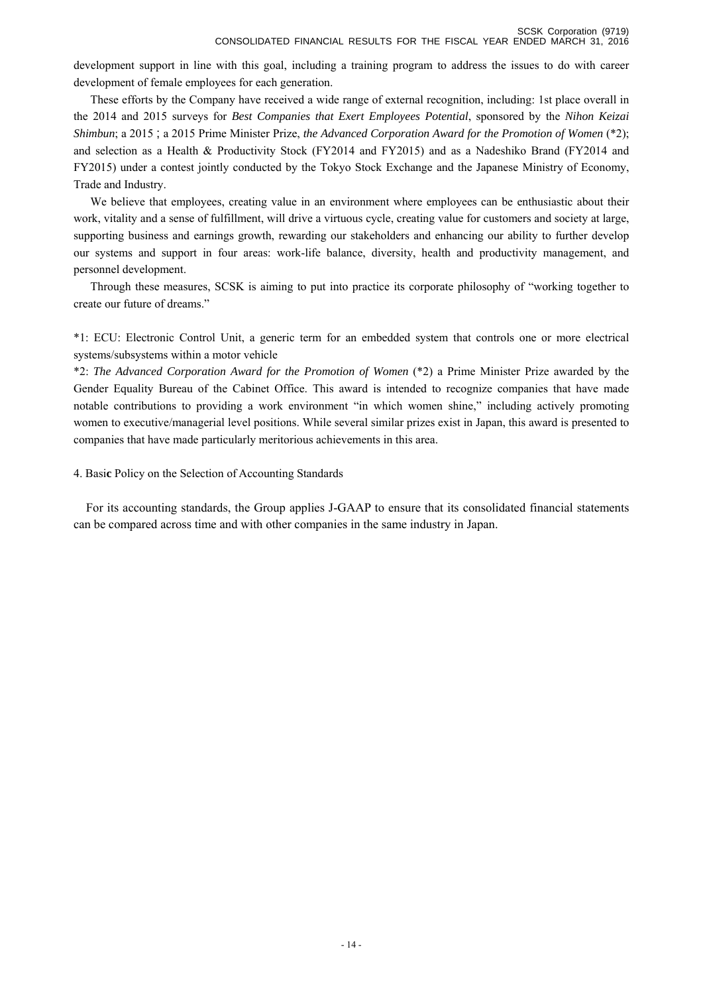development support in line with this goal, including a training program to address the issues to do with career development of female employees for each generation.

 These efforts by the Company have received a wide range of external recognition, including: 1st place overall in the 2014 and 2015 surveys for *Best Companies that Exert Employees Potential*, sponsored by the *Nihon Keizai Shimbun*; a 2015 ; a 2015 Prime Minister Prize, *the Advanced Corporation Award for the Promotion of Women* (\*2); and selection as a Health & Productivity Stock (FY2014 and FY2015) and as a Nadeshiko Brand (FY2014 and FY2015) under a contest jointly conducted by the Tokyo Stock Exchange and the Japanese Ministry of Economy, Trade and Industry.

We believe that employees, creating value in an environment where employees can be enthusiastic about their work, vitality and a sense of fulfillment, will drive a virtuous cycle, creating value for customers and society at large, supporting business and earnings growth, rewarding our stakeholders and enhancing our ability to further develop our systems and support in four areas: work-life balance, diversity, health and productivity management, and personnel development.

 Through these measures, SCSK is aiming to put into practice its corporate philosophy of "working together to create our future of dreams."

\*1: ECU: Electronic Control Unit, a generic term for an embedded system that controls one or more electrical systems/subsystems within a motor vehicle

\*2: *The Advanced Corporation Award for the Promotion of Women* (\*2) a Prime Minister Prize awarded by the Gender Equality Bureau of the Cabinet Office. This award is intended to recognize companies that have made notable contributions to providing a work environment "in which women shine," including actively promoting women to executive/managerial level positions. While several similar prizes exist in Japan, this award is presented to companies that have made particularly meritorious achievements in this area.

4. Basi**c** Policy on the Selection of Accounting Standards

For its accounting standards, the Group applies J-GAAP to ensure that its consolidated financial statements can be compared across time and with other companies in the same industry in Japan.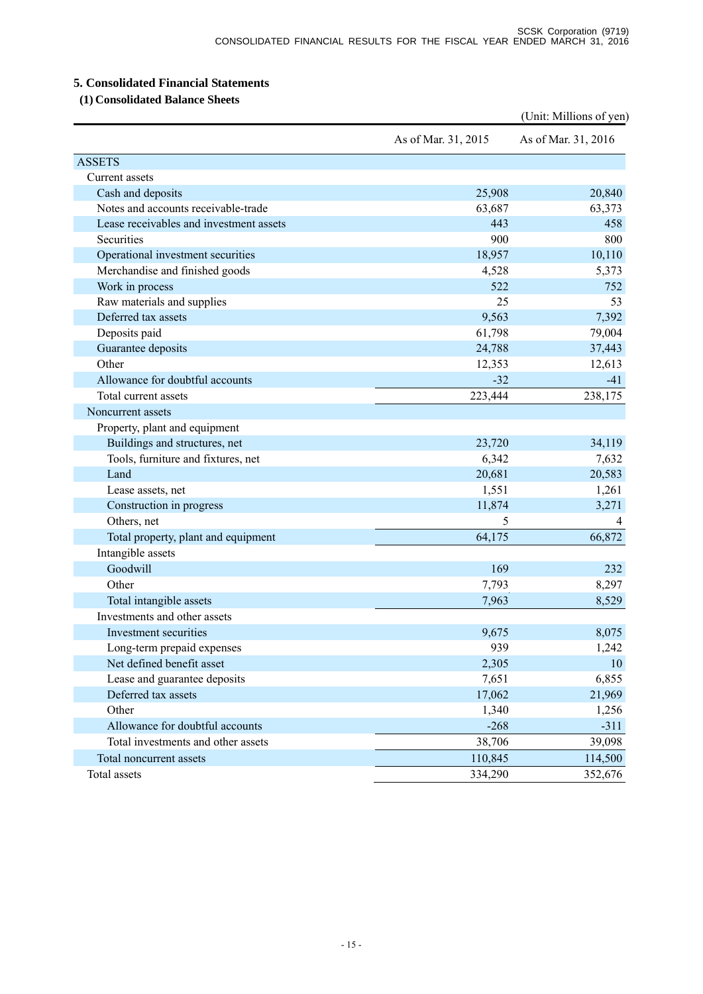# **5. Consolidated Financial Statements**

 **(1) Consolidated Balance Sheets** 

|                                         |                     | (Unit: Millions of yen) |
|-----------------------------------------|---------------------|-------------------------|
|                                         | As of Mar. 31, 2015 | As of Mar. 31, 2016     |
| <b>ASSETS</b>                           |                     |                         |
| Current assets                          |                     |                         |
| Cash and deposits                       | 25,908              | 20,840                  |
| Notes and accounts receivable-trade     | 63,687              | 63,373                  |
| Lease receivables and investment assets | 443                 | 458                     |
| Securities                              | 900                 | 800                     |
| Operational investment securities       | 18,957              | 10,110                  |
| Merchandise and finished goods          | 4,528               | 5,373                   |
| Work in process                         | 522                 | 752                     |
| Raw materials and supplies              | 25                  | 53                      |
| Deferred tax assets                     | 9,563               | 7,392                   |
| Deposits paid                           | 61,798              | 79,004                  |
| Guarantee deposits                      | 24,788              | 37,443                  |
| Other                                   | 12,353              | 12,613                  |
| Allowance for doubtful accounts         | $-32$               | $-41$                   |
| Total current assets                    | 223,444             | 238,175                 |
| Noncurrent assets                       |                     |                         |
| Property, plant and equipment           |                     |                         |
| Buildings and structures, net           | 23,720              | 34,119                  |
| Tools, furniture and fixtures, net      | 6,342               | 7,632                   |
| Land                                    | 20,681              | 20,583                  |
| Lease assets, net                       | 1,551               | 1,261                   |
| Construction in progress                | 11,874              | 3,271                   |
| Others, net                             | 5                   | 4                       |
| Total property, plant and equipment     | 64,175              | 66,872                  |
| Intangible assets                       |                     |                         |
| Goodwill                                | 169                 | 232                     |
| Other                                   | 7,793               | 8,297                   |
| Total intangible assets                 | 7,963               | 8,529                   |
| Investments and other assets            |                     |                         |
| Investment securities                   | 9,675               | 8,075                   |
| Long-term prepaid expenses              | 939                 | 1,242                   |
| Net defined benefit asset               | 2,305               | 10                      |
| Lease and guarantee deposits            | 7,651               | 6,855                   |
| Deferred tax assets                     | 17,062              | 21,969                  |
| Other                                   | 1,340               | 1,256                   |
| Allowance for doubtful accounts         | $-268$              | $-311$                  |
| Total investments and other assets      | 38,706              | 39,098                  |
| Total noncurrent assets                 | 110,845             | 114,500                 |
| Total assets                            | 334,290             | 352,676                 |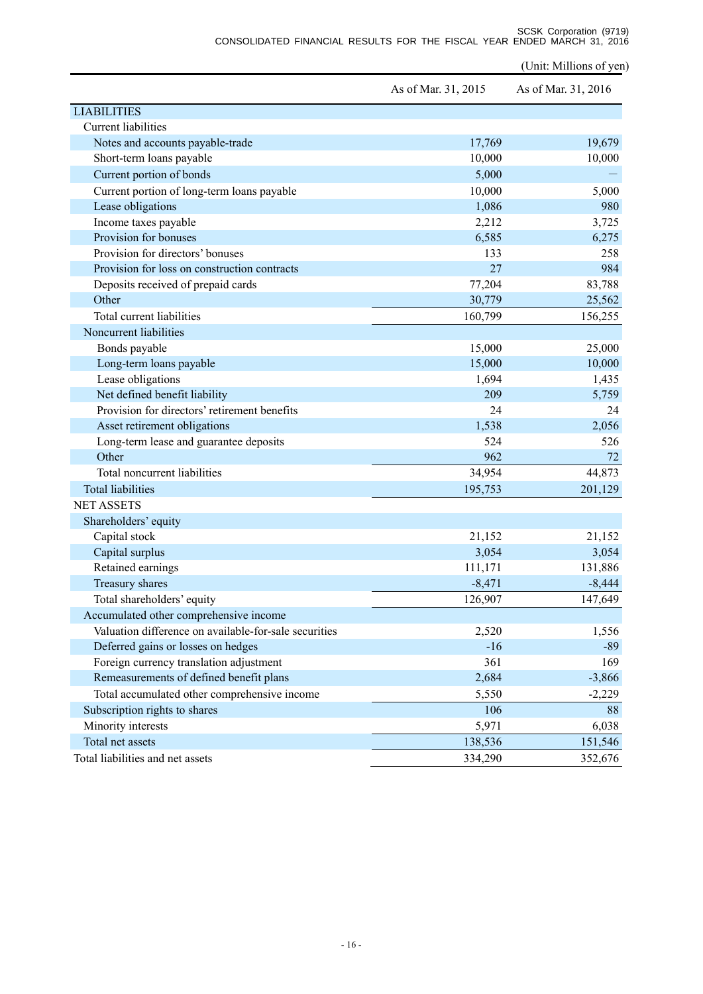SCSK Corporation (9719) CONSOLIDATED FINANCIAL RESULTS FOR THE FISCAL YEAR ENDED MARCH 31, 2016

(Unit: Millions of yen)

|                                                       | As of Mar. 31, 2015 | As of Mar. 31, 2016 |
|-------------------------------------------------------|---------------------|---------------------|
| <b>LIABILITIES</b>                                    |                     |                     |
| <b>Current liabilities</b>                            |                     |                     |
| Notes and accounts payable-trade                      | 17,769              | 19,679              |
| Short-term loans payable                              | 10,000              | 10,000              |
| Current portion of bonds                              | 5,000               |                     |
| Current portion of long-term loans payable            | 10,000              | 5,000               |
| Lease obligations                                     | 1,086               | 980                 |
| Income taxes payable                                  | 2,212               | 3,725               |
| Provision for bonuses                                 | 6,585               | 6,275               |
| Provision for directors' bonuses                      | 133                 | 258                 |
| Provision for loss on construction contracts          | 27                  | 984                 |
| Deposits received of prepaid cards                    | 77,204              | 83,788              |
| Other                                                 | 30,779              | 25,562              |
| Total current liabilities                             | 160,799             | 156,255             |
| Noncurrent liabilities                                |                     |                     |
| Bonds payable                                         | 15,000              | 25,000              |
| Long-term loans payable                               | 15,000              | 10,000              |
| Lease obligations                                     | 1,694               | 1,435               |
| Net defined benefit liability                         | 209                 | 5,759               |
| Provision for directors' retirement benefits          | 24                  | 24                  |
| Asset retirement obligations                          | 1,538               | 2,056               |
| Long-term lease and guarantee deposits                | 524                 | 526                 |
| Other                                                 | 962                 | 72                  |
| Total noncurrent liabilities                          | 34,954              | 44,873              |
| <b>Total liabilities</b>                              | 195,753             | 201,129             |
| <b>NET ASSETS</b>                                     |                     |                     |
| Shareholders' equity                                  |                     |                     |
| Capital stock                                         | 21,152              | 21,152              |
| Capital surplus                                       | 3,054               | 3,054               |
| Retained earnings                                     | 111,171             | 131,886             |
| Treasury shares                                       | $-8,471$            | $-8,444$            |
| Total shareholders' equity                            | 126,907             | 147,649             |
| Accumulated other comprehensive income                |                     |                     |
| Valuation difference on available-for-sale securities | 2,520               | 1,556               |
| Deferred gains or losses on hedges                    | $-16$               | $-89$               |
| Foreign currency translation adjustment               | 361                 | 169                 |
| Remeasurements of defined benefit plans               | 2,684               | $-3,866$            |
| Total accumulated other comprehensive income          | 5,550               | $-2,229$            |
| Subscription rights to shares                         | 106                 | 88                  |
| Minority interests                                    | 5,971               | 6,038               |
| Total net assets                                      | 138,536             | 151,546             |
| Total liabilities and net assets                      | 334,290             | 352,676             |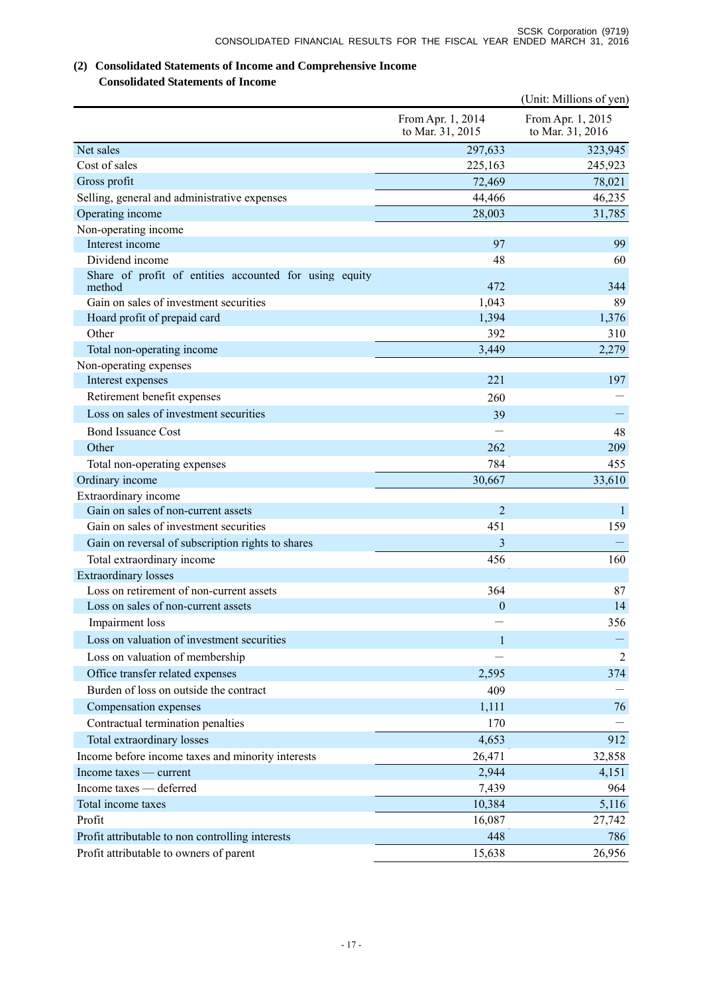# **(2) Consolidated Statements of Income and Comprehensive Income**

# **Consolidated Statements of Income**

|                                                                  |                                       | (Unit: Millions of yen)               |
|------------------------------------------------------------------|---------------------------------------|---------------------------------------|
|                                                                  | From Apr. 1, 2014<br>to Mar. 31, 2015 | From Apr. 1, 2015<br>to Mar. 31, 2016 |
| Net sales                                                        | 297,633                               | 323,945                               |
| Cost of sales                                                    | 225,163                               | 245,923                               |
| Gross profit                                                     | 72,469                                | 78,021                                |
| Selling, general and administrative expenses                     | 44,466                                | 46,235                                |
| Operating income                                                 | 28,003                                | 31,785                                |
| Non-operating income                                             |                                       |                                       |
| Interest income                                                  | 97                                    | 99                                    |
| Dividend income                                                  | 48                                    | 60                                    |
| Share of profit of entities accounted for using equity<br>method | 472                                   | 344                                   |
| Gain on sales of investment securities                           | 1,043                                 | 89                                    |
| Hoard profit of prepaid card                                     | 1,394                                 | 1,376                                 |
| Other                                                            | 392                                   | 310                                   |
| Total non-operating income                                       | 3,449                                 | 2,279                                 |
| Non-operating expenses                                           |                                       |                                       |
| Interest expenses                                                | 221                                   | 197                                   |
| Retirement benefit expenses                                      | 260                                   |                                       |
| Loss on sales of investment securities                           | 39                                    |                                       |
| <b>Bond Issuance Cost</b>                                        |                                       | 48                                    |
| Other                                                            | 262                                   | 209                                   |
| Total non-operating expenses                                     | 784                                   | 455                                   |
| Ordinary income                                                  | 30,667                                | 33,610                                |
| Extraordinary income                                             |                                       |                                       |
| Gain on sales of non-current assets                              | $\overline{2}$                        | $\mathbf{1}$                          |
| Gain on sales of investment securities                           | 451                                   | 159                                   |
| Gain on reversal of subscription rights to shares                | 3                                     |                                       |
| Total extraordinary income                                       | 456                                   | 160                                   |
| <b>Extraordinary losses</b>                                      |                                       |                                       |
| Loss on retirement of non-current assets                         | 364                                   | 87                                    |
| Loss on sales of non-current assets                              | $\mathbf{0}$                          | 14                                    |
| Impairment loss                                                  |                                       | 356                                   |
| Loss on valuation of investment securities                       | $\mathbf{1}$                          |                                       |
| Loss on valuation of membership                                  |                                       | 2                                     |
| Office transfer related expenses                                 | 2,595                                 | 374                                   |
| Burden of loss on outside the contract                           | 409                                   |                                       |
| Compensation expenses                                            | 1,111                                 | 76                                    |
| Contractual termination penalties                                | 170                                   |                                       |
| Total extraordinary losses                                       | 4,653                                 | 912                                   |
| Income before income taxes and minority interests                | 26,471                                | 32,858                                |
| Income taxes — current                                           | 2,944                                 | 4,151                                 |
| Income taxes - deferred                                          | 7,439                                 | 964                                   |
| Total income taxes                                               | 10,384                                | 5,116                                 |
| Profit                                                           | 16,087                                | 27,742                                |
| Profit attributable to non controlling interests                 | 448                                   | 786                                   |
| Profit attributable to owners of parent                          | 15,638                                | 26,956                                |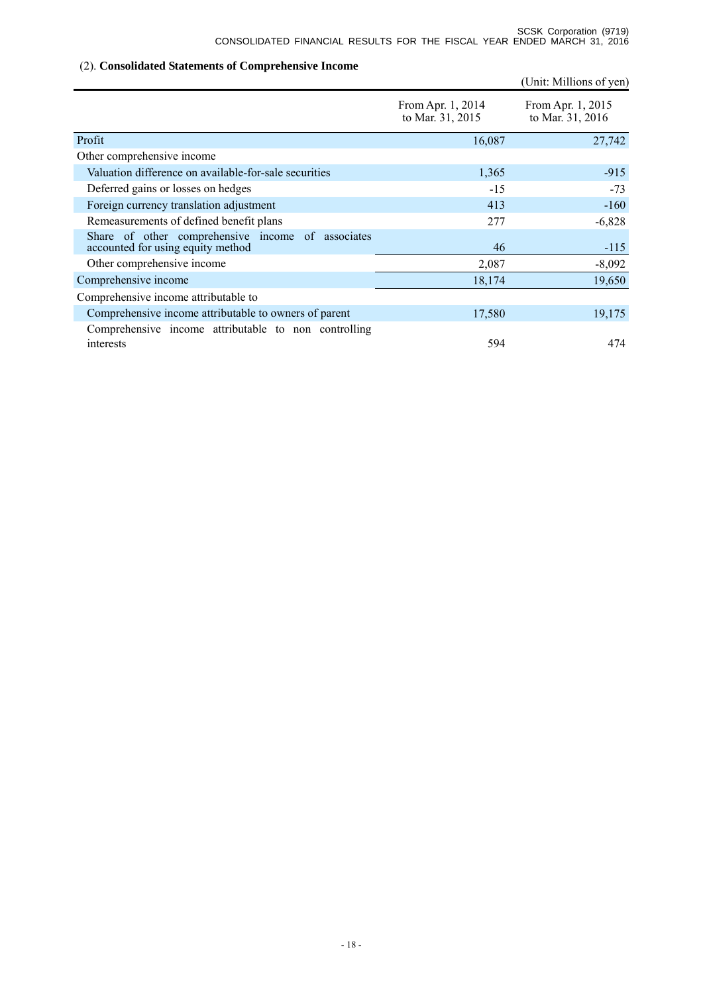# (2). **Consolidated Statements of Comprehensive Income**

|                                                                                        |                                       | (Unit: Millions of yen)               |
|----------------------------------------------------------------------------------------|---------------------------------------|---------------------------------------|
|                                                                                        | From Apr. 1, 2014<br>to Mar. 31, 2015 | From Apr. 1, 2015<br>to Mar. 31, 2016 |
| Profit                                                                                 | 16,087                                | 27,742                                |
| Other comprehensive income                                                             |                                       |                                       |
| Valuation difference on available-for-sale securities                                  | 1,365                                 | $-915$                                |
| Deferred gains or losses on hedges                                                     | $-15$                                 | $-73$                                 |
| Foreign currency translation adjustment                                                | 413                                   | $-160$                                |
| Remeasurements of defined benefit plans                                                | 277                                   | $-6,828$                              |
| Share of other comprehensive income of associates<br>accounted for using equity method | 46                                    | $-115$                                |
| Other comprehensive income                                                             | 2,087                                 | $-8,092$                              |
| Comprehensive income                                                                   | 18,174                                | 19,650                                |
| Comprehensive income attributable to                                                   |                                       |                                       |
| Comprehensive income attributable to owners of parent                                  | 17,580                                | 19,175                                |
| Comprehensive income attributable to non controlling<br>interests                      | 594                                   | 474                                   |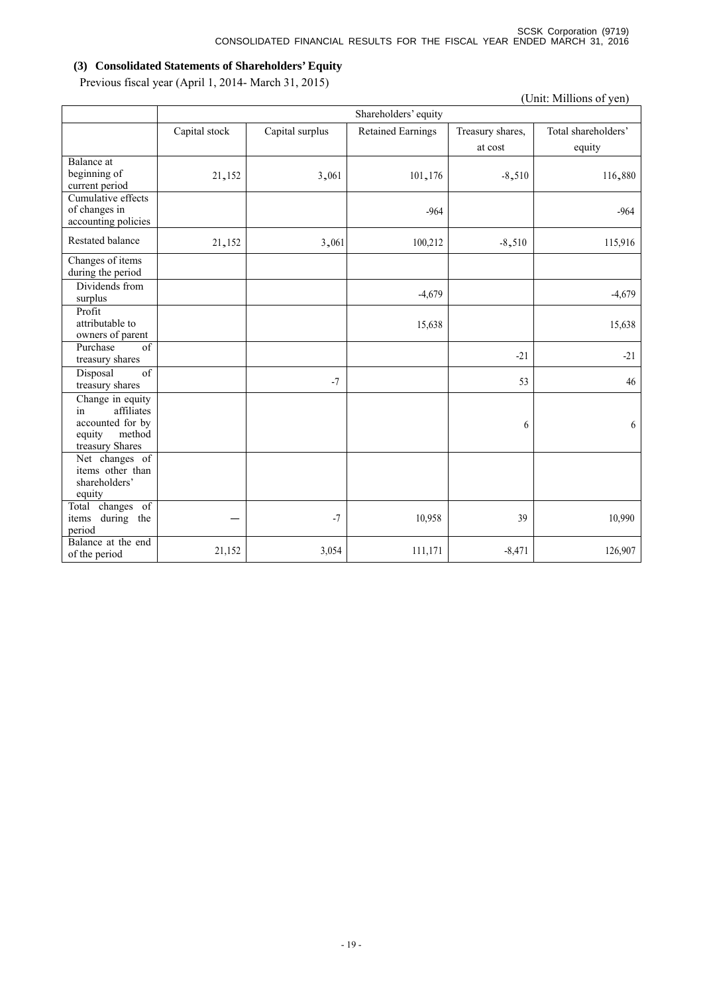# **(3) Consolidated Statements of Shareholders' Equity**

Previous fiscal year (April 1, 2014- March 31, 2015)

|                                                                                                 | (Unit: Millions of yen) |                      |                          |                             |                               |  |  |  |  |
|-------------------------------------------------------------------------------------------------|-------------------------|----------------------|--------------------------|-----------------------------|-------------------------------|--|--|--|--|
|                                                                                                 |                         | Shareholders' equity |                          |                             |                               |  |  |  |  |
|                                                                                                 | Capital stock           | Capital surplus      | <b>Retained Earnings</b> | Treasury shares,<br>at cost | Total shareholders'<br>equity |  |  |  |  |
| <b>Balance</b> at<br>beginning of<br>current period                                             | 21,152                  | 3,061                | 101,176                  | $-8,510$                    | 116,880                       |  |  |  |  |
| Cumulative effects<br>of changes in<br>accounting policies                                      |                         |                      | $-964$                   |                             | $-964$                        |  |  |  |  |
| Restated balance                                                                                | 21,152                  | 3,061                | 100,212                  | $-8,510$                    | 115,916                       |  |  |  |  |
| Changes of items<br>during the period                                                           |                         |                      |                          |                             |                               |  |  |  |  |
| Dividends from<br>surplus                                                                       |                         |                      | $-4,679$                 |                             | $-4,679$                      |  |  |  |  |
| Profit<br>attributable to<br>owners of parent                                                   |                         |                      | 15,638                   |                             | 15,638                        |  |  |  |  |
| Purchase<br>of<br>treasury shares                                                               |                         |                      |                          | $-21$                       | $-21$                         |  |  |  |  |
| of<br>Disposal<br>treasury shares                                                               |                         | $-7$                 |                          | 53                          | 46                            |  |  |  |  |
| Change in equity<br>affiliates<br>in<br>accounted for by<br>method<br>equity<br>treasury Shares |                         |                      |                          | 6                           | 6                             |  |  |  |  |
| Net changes of<br>items other than<br>shareholders'<br>equity                                   |                         |                      |                          |                             |                               |  |  |  |  |
| Total changes of<br>during the<br>items<br>period                                               |                         | $-7$                 | 10,958                   | 39                          | 10,990                        |  |  |  |  |
| Balance at the end<br>of the period                                                             | 21,152                  | 3,054                | 111,171                  | $-8,471$                    | 126,907                       |  |  |  |  |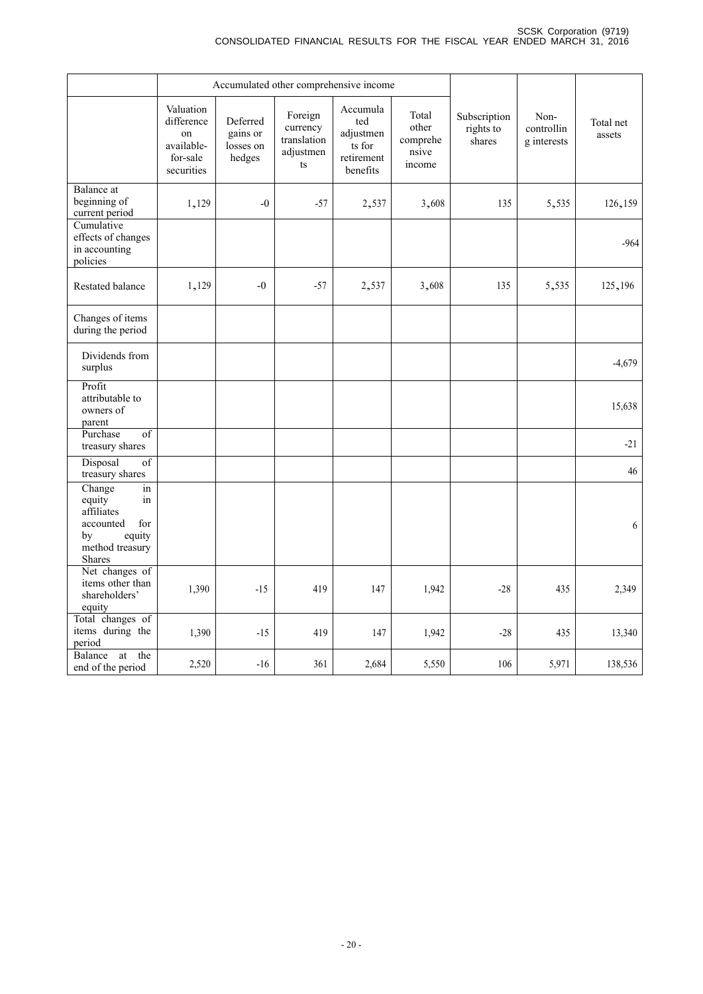|                                                                                                                    |                                                                       |                                             | Accumulated other comprehensive income                |                                                                  |                                               |                                     |                                   |                     |
|--------------------------------------------------------------------------------------------------------------------|-----------------------------------------------------------------------|---------------------------------------------|-------------------------------------------------------|------------------------------------------------------------------|-----------------------------------------------|-------------------------------------|-----------------------------------|---------------------|
|                                                                                                                    | Valuation<br>difference<br>on<br>available-<br>for-sale<br>securities | Deferred<br>gains or<br>losses on<br>hedges | Foreign<br>currency<br>translation<br>adjustmen<br>ts | Accumula<br>ted<br>adjustmen<br>ts for<br>retirement<br>benefits | Total<br>other<br>comprehe<br>nsive<br>income | Subscription<br>rights to<br>shares | Non-<br>controllin<br>g interests | Total net<br>assets |
| Balance at<br>beginning of<br>current period                                                                       | 1,129                                                                 | $-0$                                        | $-57$                                                 | 2,537                                                            | 3,608                                         | 135                                 | 5,535                             | 126,159             |
| Cumulative<br>effects of changes<br>in accounting<br>policies                                                      |                                                                       |                                             |                                                       |                                                                  |                                               |                                     |                                   | $-964$              |
| Restated balance                                                                                                   | 1,129                                                                 | $-0$                                        | $-57$                                                 | 2,537                                                            | 3,608                                         | 135                                 | 5,535                             | 125,196             |
| Changes of items<br>during the period                                                                              |                                                                       |                                             |                                                       |                                                                  |                                               |                                     |                                   |                     |
| Dividends from<br>surplus                                                                                          |                                                                       |                                             |                                                       |                                                                  |                                               |                                     |                                   | $-4,679$            |
| Profit<br>attributable to<br>owners of<br>parent                                                                   |                                                                       |                                             |                                                       |                                                                  |                                               |                                     |                                   | 15,638              |
| Purchase<br>$\overline{of}$<br>treasury shares                                                                     |                                                                       |                                             |                                                       |                                                                  |                                               |                                     |                                   | $-21$               |
| Disposal<br>of<br>treasury shares                                                                                  |                                                                       |                                             |                                                       |                                                                  |                                               |                                     |                                   | 46                  |
| Change<br>in<br>equity<br>in<br>affiliates<br>accounted<br>for<br>equity<br>by<br>method treasury<br><b>Shares</b> |                                                                       |                                             |                                                       |                                                                  |                                               |                                     |                                   | 6                   |
| Net changes of<br>items other than<br>shareholders'<br>equity                                                      | 1,390                                                                 | $-15$                                       | 419                                                   | 147                                                              | 1,942                                         | $-28$                               | 435                               | 2,349               |
| Total changes of<br>items during the<br>period                                                                     | 1,390                                                                 | $-15$                                       | 419                                                   | 147                                                              | 1,942                                         | $-28$                               | 435                               | 13,340              |
| Balance<br>the<br>at<br>end of the period                                                                          | 2,520                                                                 | $-16$                                       | 361                                                   | 2,684                                                            | 5,550                                         | 106                                 | 5,971                             | 138,536             |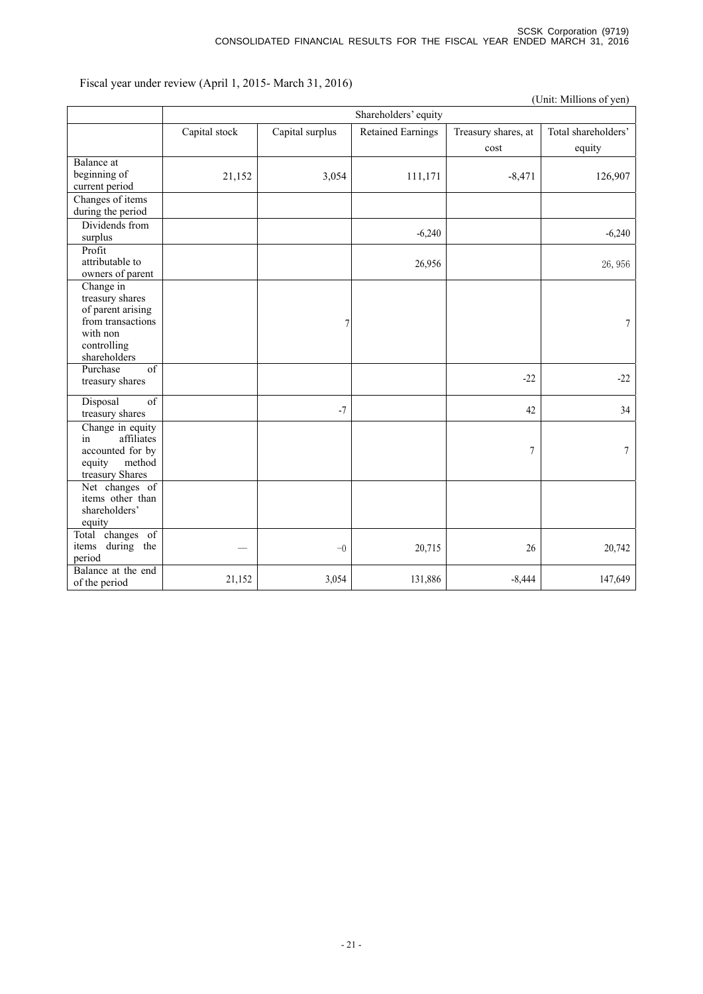Fiscal year under review (April 1, 2015- March 31, 2016)

|                                                                                                                   |               |                      |                          |                             | (Unit: Millions of yen)       |  |  |  |  |
|-------------------------------------------------------------------------------------------------------------------|---------------|----------------------|--------------------------|-----------------------------|-------------------------------|--|--|--|--|
|                                                                                                                   |               | Shareholders' equity |                          |                             |                               |  |  |  |  |
|                                                                                                                   | Capital stock | Capital surplus      | <b>Retained Earnings</b> | Treasury shares, at<br>cost | Total shareholders'<br>equity |  |  |  |  |
| Balance at<br>beginning of<br>current period                                                                      | 21,152        | 3,054                | 111,171                  | $-8,471$                    | 126,907                       |  |  |  |  |
| Changes of items<br>during the period                                                                             |               |                      |                          |                             |                               |  |  |  |  |
| Dividends from<br>surplus                                                                                         |               |                      | $-6,240$                 |                             | $-6,240$                      |  |  |  |  |
| Profit<br>attributable to<br>owners of parent                                                                     |               |                      | 26,956                   |                             | 26,956                        |  |  |  |  |
| Change in<br>treasury shares<br>of parent arising<br>from transactions<br>with non<br>controlling<br>shareholders |               | 7                    |                          |                             | $\overline{7}$                |  |  |  |  |
| Purchase<br>of<br>treasury shares                                                                                 |               |                      |                          | $-22$                       | $-22$                         |  |  |  |  |
| of<br>Disposal<br>treasury shares                                                                                 |               | $-7$                 |                          | 42                          | 34                            |  |  |  |  |
| Change in equity<br>affiliates<br>in<br>accounted for by<br>method<br>equity<br>treasury Shares                   |               |                      |                          | $\sqrt{ }$                  | $\boldsymbol{7}$              |  |  |  |  |
| Net changes of<br>items other than<br>shareholders'<br>equity                                                     |               |                      |                          |                             |                               |  |  |  |  |
| Total changes of<br>during the<br>items<br>period                                                                 |               | $-0$                 | 20,715                   | 26                          | 20,742                        |  |  |  |  |
| Balance at the end<br>of the period                                                                               | 21,152        | 3,054                | 131,886                  | $-8,444$                    | 147,649                       |  |  |  |  |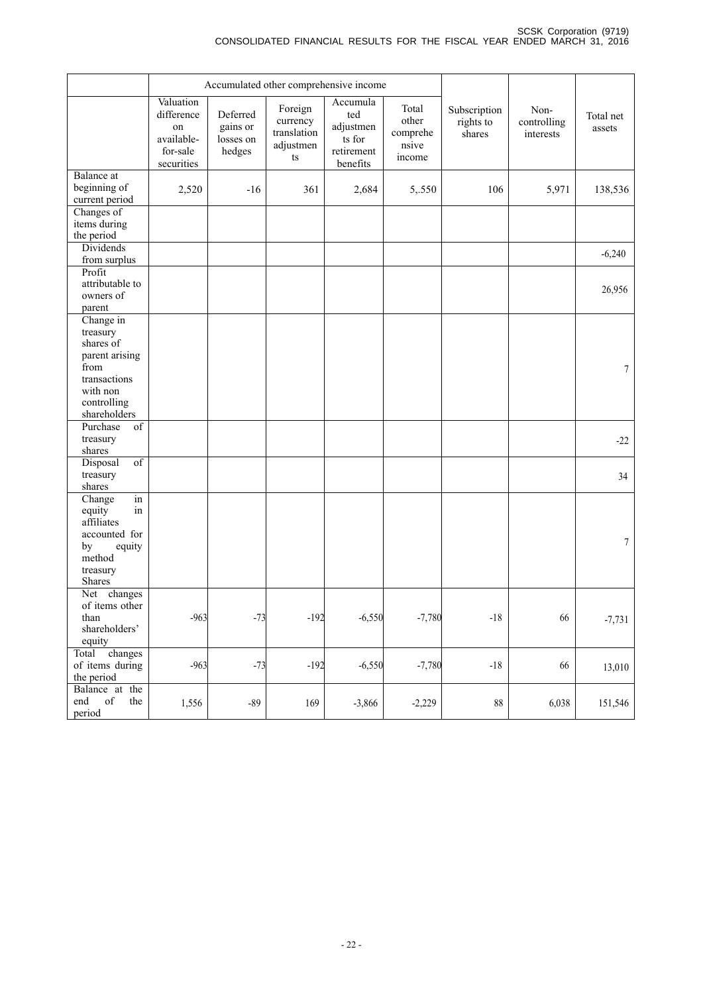|                                                                                                                         |                                                                       |                                             | Accumulated other comprehensive income                |                                                                  |                                               |                                     |                                  |                     |
|-------------------------------------------------------------------------------------------------------------------------|-----------------------------------------------------------------------|---------------------------------------------|-------------------------------------------------------|------------------------------------------------------------------|-----------------------------------------------|-------------------------------------|----------------------------------|---------------------|
|                                                                                                                         | Valuation<br>difference<br>on<br>available-<br>for-sale<br>securities | Deferred<br>gains or<br>losses on<br>hedges | Foreign<br>currency<br>translation<br>adjustmen<br>ts | Accumula<br>ted<br>adjustmen<br>ts for<br>retirement<br>benefits | Total<br>other<br>comprehe<br>nsive<br>income | Subscription<br>rights to<br>shares | Non-<br>controlling<br>interests | Total net<br>assets |
| Balance at<br>beginning of<br>current period                                                                            | 2,520                                                                 | $-16$                                       | 361                                                   | 2,684                                                            | 5,.550                                        | 106                                 | 5,971                            | 138,536             |
| Changes of<br>items during<br>the period                                                                                |                                                                       |                                             |                                                       |                                                                  |                                               |                                     |                                  |                     |
| Dividends<br>from surplus                                                                                               |                                                                       |                                             |                                                       |                                                                  |                                               |                                     |                                  | $-6,240$            |
| Profit<br>attributable to<br>owners of<br>parent                                                                        |                                                                       |                                             |                                                       |                                                                  |                                               |                                     |                                  | 26,956              |
| Change in<br>treasury<br>shares of<br>parent arising<br>from<br>transactions<br>with non<br>controlling<br>shareholders |                                                                       |                                             |                                                       |                                                                  |                                               |                                     |                                  | $\boldsymbol{7}$    |
| Purchase<br>of<br>treasury<br>shares                                                                                    |                                                                       |                                             |                                                       |                                                                  |                                               |                                     |                                  | $-22$               |
| $\overline{of}$<br>Disposal<br>treasury<br>shares                                                                       |                                                                       |                                             |                                                       |                                                                  |                                               |                                     |                                  | 34                  |
| Change<br>in<br>equity<br>in<br>affiliates<br>accounted for<br>by<br>equity<br>method<br>treasury<br>Shares             |                                                                       |                                             |                                                       |                                                                  |                                               |                                     |                                  | 7                   |
| Net<br>changes<br>of items other<br>than<br>shareholders'<br>equity                                                     | $-963$                                                                | $-73$                                       | $-192$                                                | $-6,550$                                                         | $-7,780$                                      | $-18$                               | 66                               | $-7,731$            |
| Total changes<br>of items during<br>the period                                                                          | $-963$                                                                | $-73$                                       | $-192$                                                | $-6,550$                                                         | $-7,780$                                      | $-18$                               | 66                               | 13,010              |
| Balance at the<br>end<br>of<br>the<br>period                                                                            | 1,556                                                                 | $-89$                                       | 169                                                   | $-3,866$                                                         | $-2,229$                                      | $88\,$                              | 6,038                            | 151,546             |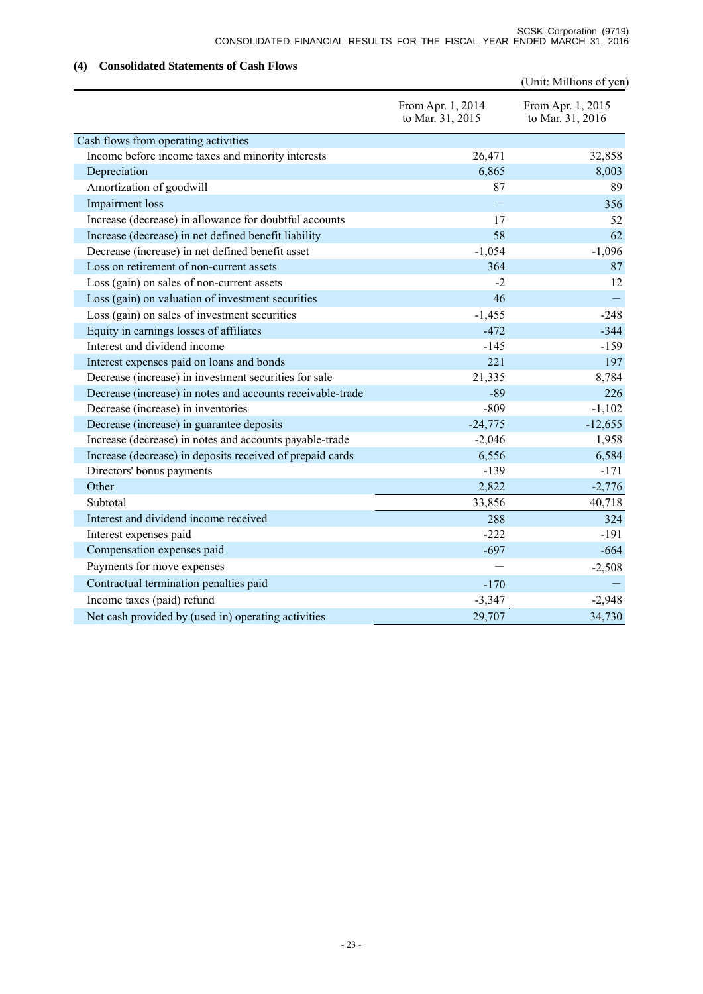# **(4) Consolidated Statements of Cash Flows**

|                                                            |                                       | (Unit: Millions of yen)               |
|------------------------------------------------------------|---------------------------------------|---------------------------------------|
|                                                            | From Apr. 1, 2014<br>to Mar. 31, 2015 | From Apr. 1, 2015<br>to Mar. 31, 2016 |
| Cash flows from operating activities                       |                                       |                                       |
| Income before income taxes and minority interests          | 26,471                                | 32,858                                |
| Depreciation                                               | 6,865                                 | 8,003                                 |
| Amortization of goodwill                                   | 87                                    | 89                                    |
| Impairment loss                                            |                                       | 356                                   |
| Increase (decrease) in allowance for doubtful accounts     | 17                                    | 52                                    |
| Increase (decrease) in net defined benefit liability       | 58                                    | 62                                    |
| Decrease (increase) in net defined benefit asset           | $-1,054$                              | $-1,096$                              |
| Loss on retirement of non-current assets                   | 364                                   | 87                                    |
| Loss (gain) on sales of non-current assets                 | $-2$                                  | 12                                    |
| Loss (gain) on valuation of investment securities          | 46                                    |                                       |
| Loss (gain) on sales of investment securities              | $-1,455$                              | $-248$                                |
| Equity in earnings losses of affiliates                    | $-472$                                | $-344$                                |
| Interest and dividend income                               | $-145$                                | $-159$                                |
| Interest expenses paid on loans and bonds                  | 221                                   | 197                                   |
| Decrease (increase) in investment securities for sale      | 21,335                                | 8,784                                 |
| Decrease (increase) in notes and accounts receivable-trade | $-89$                                 | 226                                   |
| Decrease (increase) in inventories                         | $-809$                                | $-1,102$                              |
| Decrease (increase) in guarantee deposits                  | $-24,775$                             | $-12,655$                             |
| Increase (decrease) in notes and accounts payable-trade    | $-2,046$                              | 1,958                                 |
| Increase (decrease) in deposits received of prepaid cards  | 6,556                                 | 6,584                                 |
| Directors' bonus payments                                  | $-139$                                | $-171$                                |
| Other                                                      | 2,822                                 | $-2,776$                              |
| Subtotal                                                   | 33,856                                | 40,718                                |
| Interest and dividend income received                      | 288                                   | 324                                   |
| Interest expenses paid                                     | $-222$                                | $-191$                                |
| Compensation expenses paid                                 | $-697$                                | $-664$                                |
| Payments for move expenses                                 |                                       | $-2,508$                              |
| Contractual termination penalties paid                     | $-170$                                |                                       |
| Income taxes (paid) refund                                 | $-3,347$                              | $-2,948$                              |
| Net cash provided by (used in) operating activities        | 29,707                                | 34,730                                |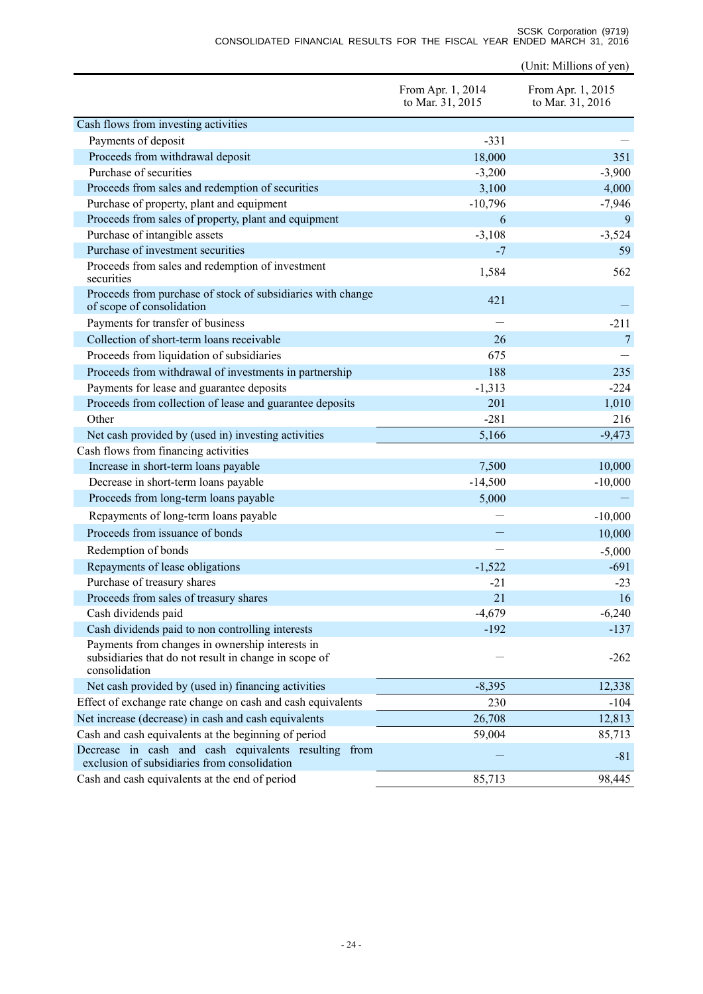SCSK Corporation (9719) CONSOLIDATED FINANCIAL RESULTS FOR THE FISCAL YEAR ENDED MARCH 31, 2016

(Unit: Millions of yen)

|                                                                                                                           | From Apr. 1, 2014<br>to Mar. 31, 2015 | From Apr. 1, 2015<br>to Mar. 31, 2016 |
|---------------------------------------------------------------------------------------------------------------------------|---------------------------------------|---------------------------------------|
| Cash flows from investing activities                                                                                      |                                       |                                       |
| Payments of deposit                                                                                                       | $-331$                                |                                       |
| Proceeds from withdrawal deposit                                                                                          | 18,000                                | 351                                   |
| Purchase of securities                                                                                                    | $-3,200$                              | $-3,900$                              |
| Proceeds from sales and redemption of securities                                                                          | 3,100                                 | 4,000                                 |
| Purchase of property, plant and equipment                                                                                 | $-10,796$                             | $-7,946$                              |
| Proceeds from sales of property, plant and equipment                                                                      | 6                                     | 9                                     |
| Purchase of intangible assets                                                                                             | $-3,108$                              | $-3,524$                              |
| Purchase of investment securities                                                                                         | $-7$                                  | 59                                    |
| Proceeds from sales and redemption of investment<br>securities                                                            | 1,584                                 | 562                                   |
| Proceeds from purchase of stock of subsidiaries with change<br>of scope of consolidation                                  | 421                                   |                                       |
| Payments for transfer of business                                                                                         |                                       | $-211$                                |
| Collection of short-term loans receivable                                                                                 | 26                                    | 7                                     |
| Proceeds from liquidation of subsidiaries                                                                                 | 675                                   |                                       |
| Proceeds from withdrawal of investments in partnership                                                                    | 188                                   | 235                                   |
| Payments for lease and guarantee deposits                                                                                 | $-1,313$                              | $-224$                                |
| Proceeds from collection of lease and guarantee deposits                                                                  | 201                                   | 1,010                                 |
| Other                                                                                                                     | $-281$                                | 216                                   |
| Net cash provided by (used in) investing activities                                                                       | 5,166                                 | $-9,473$                              |
| Cash flows from financing activities                                                                                      |                                       |                                       |
| Increase in short-term loans payable                                                                                      | 7,500                                 | 10,000                                |
| Decrease in short-term loans payable                                                                                      | $-14,500$                             | $-10,000$                             |
| Proceeds from long-term loans payable                                                                                     | 5,000                                 |                                       |
| Repayments of long-term loans payable                                                                                     |                                       | $-10,000$                             |
| Proceeds from issuance of bonds                                                                                           |                                       | 10,000                                |
| Redemption of bonds                                                                                                       |                                       | $-5,000$                              |
| Repayments of lease obligations                                                                                           | $-1,522$                              | $-691$                                |
| Purchase of treasury shares                                                                                               | $-21$                                 | $-23$                                 |
| Proceeds from sales of treasury shares                                                                                    | 21                                    | 16                                    |
| Cash dividends paid                                                                                                       | $-4,679$                              | $-6,240$                              |
| Cash dividends paid to non controlling interests                                                                          | $-192$                                | $-137$                                |
| Payments from changes in ownership interests in<br>subsidiaries that do not result in change in scope of<br>consolidation |                                       | $-262$                                |
| Net cash provided by (used in) financing activities                                                                       | $-8,395$                              | 12,338                                |
| Effect of exchange rate change on cash and cash equivalents                                                               | 230                                   | $-104$                                |
| Net increase (decrease) in cash and cash equivalents                                                                      | 26,708                                | 12,813                                |
| Cash and cash equivalents at the beginning of period                                                                      | 59,004                                | 85,713                                |
| Decrease in cash and cash equivalents resulting from<br>exclusion of subsidiaries from consolidation                      |                                       | $-81$                                 |
| Cash and cash equivalents at the end of period                                                                            | 85,713                                | 98,445                                |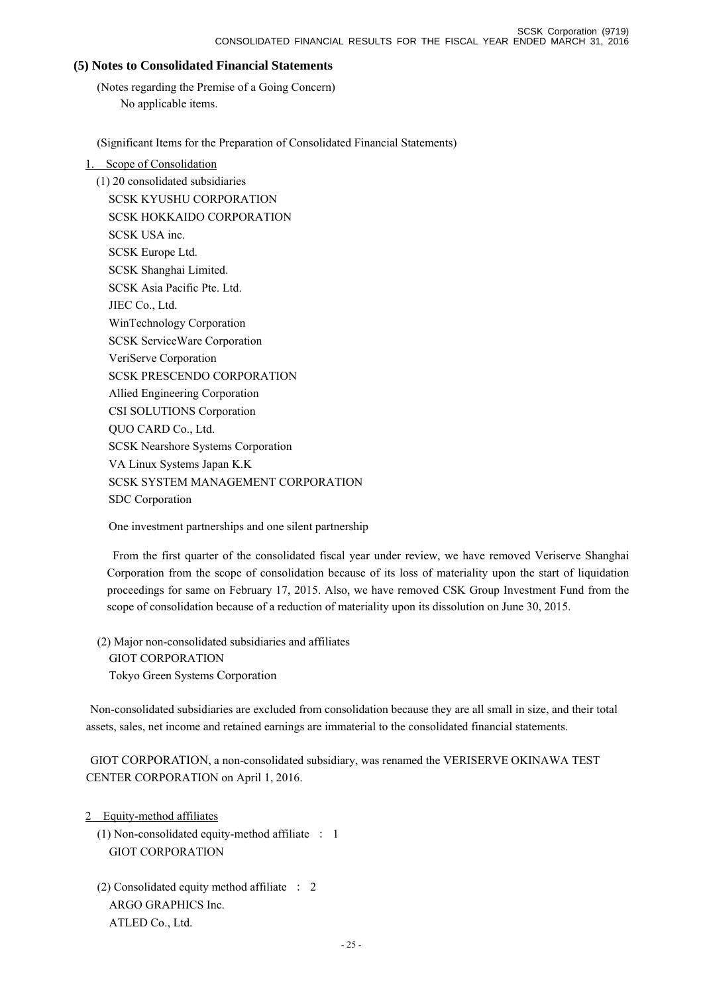# **(5) Notes to Consolidated Financial Statements**

(Notes regarding the Premise of a Going Concern) No applicable items.

(Significant Items for the Preparation of Consolidated Financial Statements)

# 1. Scope of Consolidation

(1) 20 consolidated subsidiaries SCSK KYUSHU CORPORATION SCSK HOKKAIDO CORPORATION SCSK USA inc. SCSK Europe Ltd. SCSK Shanghai Limited. SCSK Asia Pacific Pte. Ltd. JIEC Co., Ltd. WinTechnology Corporation SCSK ServiceWare Corporation VeriServe Corporation SCSK PRESCENDO CORPORATION Allied Engineering Corporation CSI SOLUTIONS Corporation QUO CARD Co., Ltd. SCSK Nearshore Systems Corporation VA Linux Systems Japan K.K SCSK SYSTEM MANAGEMENT CORPORATION SDC Corporation

One investment partnerships and one silent partnership

From the first quarter of the consolidated fiscal year under review, we have removed Veriserve Shanghai Corporation from the scope of consolidation because of its loss of materiality upon the start of liquidation proceedings for same on February 17, 2015. Also, we have removed CSK Group Investment Fund from the scope of consolidation because of a reduction of materiality upon its dissolution on June 30, 2015.

(2) Major non-consolidated subsidiaries and affiliates GIOT CORPORATION Tokyo Green Systems Corporation

 Non-consolidated subsidiaries are excluded from consolidation because they are all small in size, and their total assets, sales, net income and retained earnings are immaterial to the consolidated financial statements.

 GIOT CORPORATION, a non-consolidated subsidiary, was renamed the VERISERVE OKINAWA TEST CENTER CORPORATION on April 1, 2016.

2 Equity-method affiliates

(1) Non-consolidated equity-method affiliate : 1 GIOT CORPORATION

(2) Consolidated equity method affiliate : 2 ARGO GRAPHICS Inc. ATLED Co., Ltd.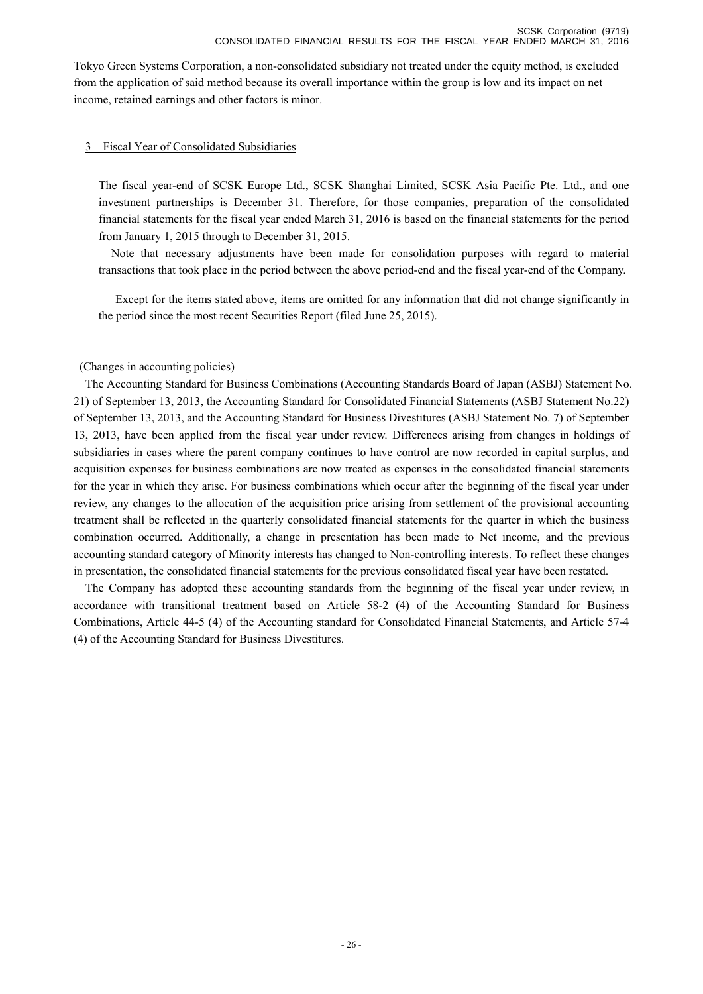Tokyo Green Systems Corporation, a non-consolidated subsidiary not treated under the equity method, is excluded from the application of said method because its overall importance within the group is low and its impact on net income, retained earnings and other factors is minor.

### 3 Fiscal Year of Consolidated Subsidiaries

The fiscal year-end of SCSK Europe Ltd., SCSK Shanghai Limited, SCSK Asia Pacific Pte. Ltd., and one investment partnerships is December 31. Therefore, for those companies, preparation of the consolidated financial statements for the fiscal year ended March 31, 2016 is based on the financial statements for the period from January 1, 2015 through to December 31, 2015.

Note that necessary adjustments have been made for consolidation purposes with regard to material transactions that took place in the period between the above period-end and the fiscal year-end of the Company.

Except for the items stated above, items are omitted for any information that did not change significantly in the period since the most recent Securities Report (filed June 25, 2015).

### (Changes in accounting policies)

The Accounting Standard for Business Combinations (Accounting Standards Board of Japan (ASBJ) Statement No. 21) of September 13, 2013, the Accounting Standard for Consolidated Financial Statements (ASBJ Statement No.22) of September 13, 2013, and the Accounting Standard for Business Divestitures (ASBJ Statement No. 7) of September 13, 2013, have been applied from the fiscal year under review. Differences arising from changes in holdings of subsidiaries in cases where the parent company continues to have control are now recorded in capital surplus, and acquisition expenses for business combinations are now treated as expenses in the consolidated financial statements for the year in which they arise. For business combinations which occur after the beginning of the fiscal year under review, any changes to the allocation of the acquisition price arising from settlement of the provisional accounting treatment shall be reflected in the quarterly consolidated financial statements for the quarter in which the business combination occurred. Additionally, a change in presentation has been made to Net income, and the previous accounting standard category of Minority interests has changed to Non-controlling interests. To reflect these changes in presentation, the consolidated financial statements for the previous consolidated fiscal year have been restated.

The Company has adopted these accounting standards from the beginning of the fiscal year under review, in accordance with transitional treatment based on Article 58-2 (4) of the Accounting Standard for Business Combinations, Article 44-5 (4) of the Accounting standard for Consolidated Financial Statements, and Article 57-4 (4) of the Accounting Standard for Business Divestitures.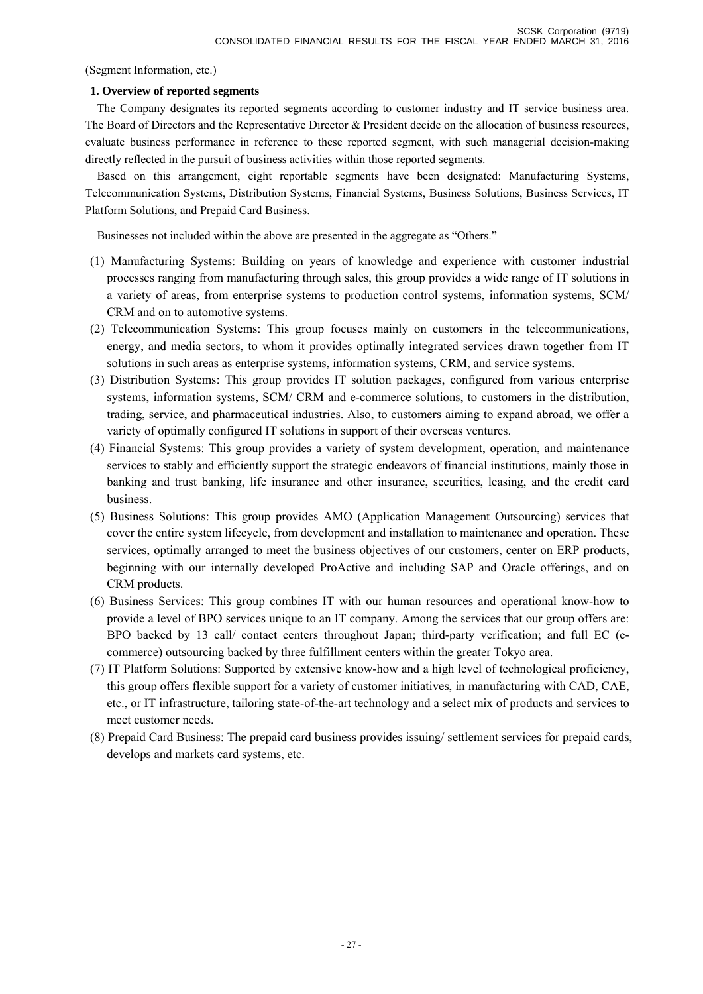(Segment Information, etc.)

## **1. Overview of reported segments**

The Company designates its reported segments according to customer industry and IT service business area. The Board of Directors and the Representative Director & President decide on the allocation of business resources, evaluate business performance in reference to these reported segment, with such managerial decision-making directly reflected in the pursuit of business activities within those reported segments.

Based on this arrangement, eight reportable segments have been designated: Manufacturing Systems, Telecommunication Systems, Distribution Systems, Financial Systems, Business Solutions, Business Services, IT Platform Solutions, and Prepaid Card Business.

Businesses not included within the above are presented in the aggregate as "Others."

- (1) Manufacturing Systems: Building on years of knowledge and experience with customer industrial processes ranging from manufacturing through sales, this group provides a wide range of IT solutions in a variety of areas, from enterprise systems to production control systems, information systems, SCM/ CRM and on to automotive systems.
- (2) Telecommunication Systems: This group focuses mainly on customers in the telecommunications, energy, and media sectors, to whom it provides optimally integrated services drawn together from IT solutions in such areas as enterprise systems, information systems, CRM, and service systems.
- (3) Distribution Systems: This group provides IT solution packages, configured from various enterprise systems, information systems, SCM/ CRM and e-commerce solutions, to customers in the distribution, trading, service, and pharmaceutical industries. Also, to customers aiming to expand abroad, we offer a variety of optimally configured IT solutions in support of their overseas ventures.
- (4) Financial Systems: This group provides a variety of system development, operation, and maintenance services to stably and efficiently support the strategic endeavors of financial institutions, mainly those in banking and trust banking, life insurance and other insurance, securities, leasing, and the credit card business.
- (5) Business Solutions: This group provides AMO (Application Management Outsourcing) services that cover the entire system lifecycle, from development and installation to maintenance and operation. These services, optimally arranged to meet the business objectives of our customers, center on ERP products, beginning with our internally developed ProActive and including SAP and Oracle offerings, and on CRM products.
- (6) Business Services: This group combines IT with our human resources and operational know-how to provide a level of BPO services unique to an IT company. Among the services that our group offers are: BPO backed by 13 call/ contact centers throughout Japan; third-party verification; and full EC (ecommerce) outsourcing backed by three fulfillment centers within the greater Tokyo area.
- (7) IT Platform Solutions: Supported by extensive know-how and a high level of technological proficiency, this group offers flexible support for a variety of customer initiatives, in manufacturing with CAD, CAE, etc., or IT infrastructure, tailoring state-of-the-art technology and a select mix of products and services to meet customer needs.
- (8) Prepaid Card Business: The prepaid card business provides issuing/ settlement services for prepaid cards, develops and markets card systems, etc.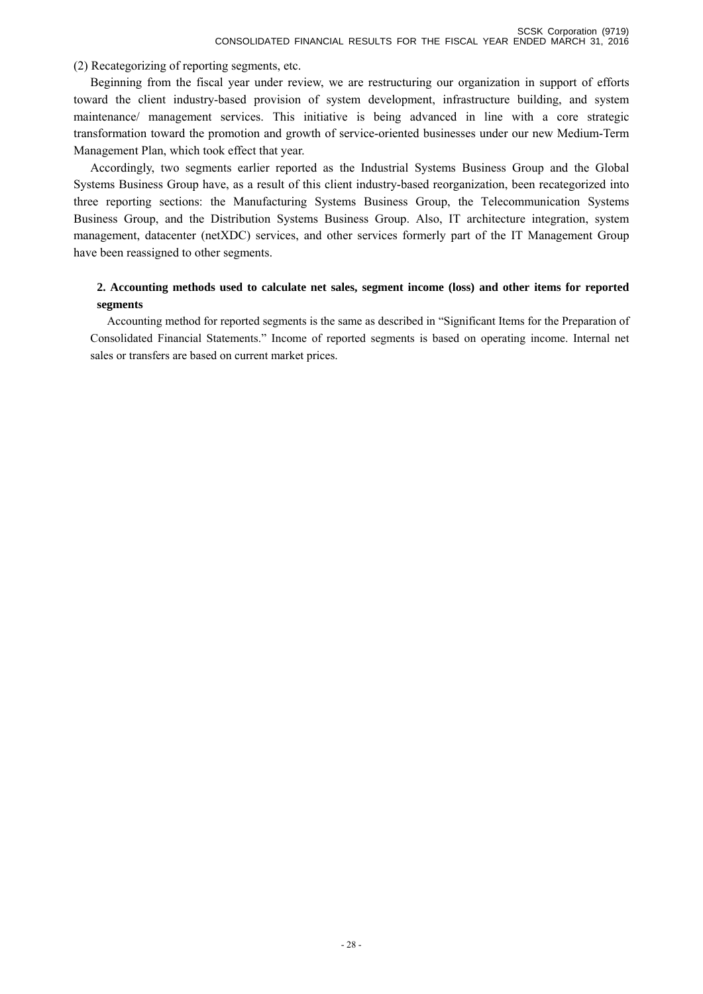(2) Recategorizing of reporting segments, etc.

 Beginning from the fiscal year under review, we are restructuring our organization in support of efforts toward the client industry-based provision of system development, infrastructure building, and system maintenance/ management services. This initiative is being advanced in line with a core strategic transformation toward the promotion and growth of service-oriented businesses under our new Medium-Term Management Plan, which took effect that year.

 Accordingly, two segments earlier reported as the Industrial Systems Business Group and the Global Systems Business Group have, as a result of this client industry-based reorganization, been recategorized into three reporting sections: the Manufacturing Systems Business Group, the Telecommunication Systems Business Group, and the Distribution Systems Business Group. Also, IT architecture integration, system management, datacenter (netXDC) services, and other services formerly part of the IT Management Group have been reassigned to other segments.

# **2. Accounting methods used to calculate net sales, segment income (loss) and other items for reported segments**

Accounting method for reported segments is the same as described in "Significant Items for the Preparation of Consolidated Financial Statements." Income of reported segments is based on operating income. Internal net sales or transfers are based on current market prices.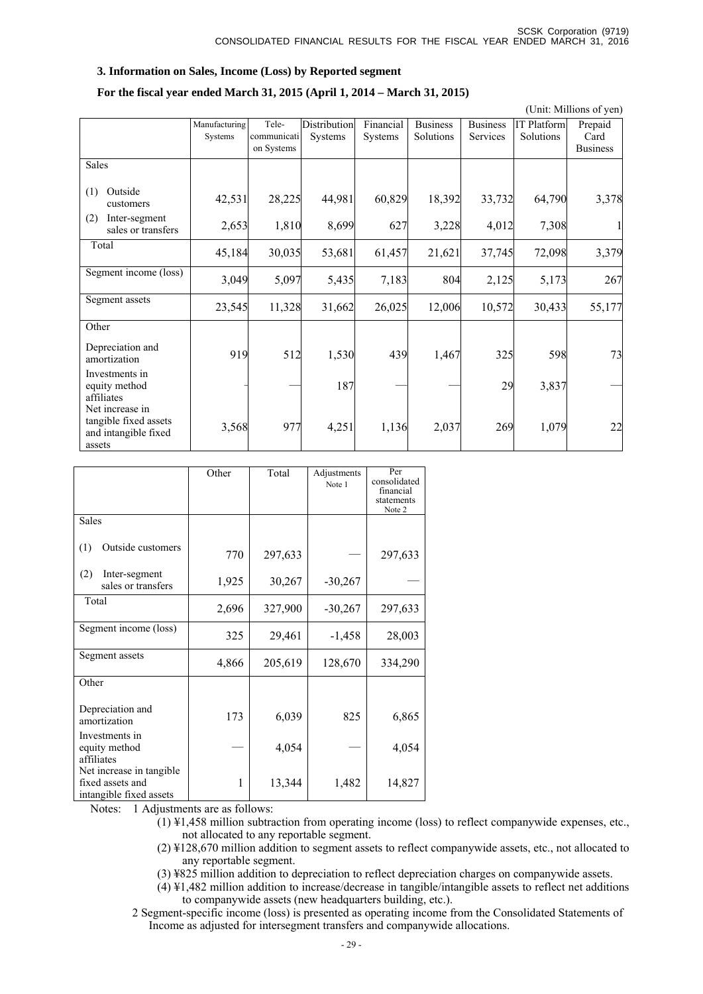## **3. Information on Sales, Income (Loss) by Reported segment**

### **For the fiscal year ended March 31, 2015 (April 1, 2014 – March 31, 2015)**

(Unit: Millions of yen)

|                                                                            | Manufacturing<br><b>Systems</b> | Tele-<br>communicati<br>on Systems | Distribution<br>Systems | Financial<br><b>Systems</b> | <b>Business</b><br>Solutions | <b>Business</b><br><b>Services</b> | <b>IT Platform</b><br>Solutions | Prepaid<br>Card<br><b>Business</b> |
|----------------------------------------------------------------------------|---------------------------------|------------------------------------|-------------------------|-----------------------------|------------------------------|------------------------------------|---------------------------------|------------------------------------|
| Sales                                                                      |                                 |                                    |                         |                             |                              |                                    |                                 |                                    |
| Outside<br>(1)<br>customers                                                | 42,531                          | 28,225                             | 44,981                  | 60,829                      | 18,392                       | 33,732                             | 64,790                          | 3,378                              |
| (2)<br>Inter-segment<br>sales or transfers                                 | 2,653                           | 1,810                              | 8,699                   | 627                         | 3,228                        | 4,012                              | 7,308                           |                                    |
| Total                                                                      | 45,184                          | 30,035                             | 53,681                  | 61,457                      | 21,621                       | 37,745                             | 72,098                          | 3,379                              |
| Segment income (loss)                                                      | 3,049                           | 5,097                              | 5,435                   | 7,183                       | 804                          | 2,125                              | 5,173                           | 267                                |
| Segment assets                                                             | 23,545                          | 11,328                             | 31,662                  | 26,025                      | 12,006                       | 10,572                             | 30,433                          | 55,177                             |
| Other                                                                      |                                 |                                    |                         |                             |                              |                                    |                                 |                                    |
| Depreciation and<br>amortization                                           | 919                             | 512                                | 1,530                   | 439                         | 1,467                        | 325                                | 598                             | 73                                 |
| Investments in<br>equity method<br>affiliates                              |                                 |                                    | 187                     |                             |                              | 29                                 | 3,837                           |                                    |
| Net increase in<br>tangible fixed assets<br>and intangible fixed<br>assets | 3,568                           | 977                                | 4,251                   | 1,136                       | 2,037                        | 269                                | 1,079                           | 22                                 |

|                                                                         | Other | Total   | Adjustments<br>Note 1 | Per<br>consolidated<br>financial<br>statements<br>Note 2 |
|-------------------------------------------------------------------------|-------|---------|-----------------------|----------------------------------------------------------|
| <b>Sales</b>                                                            |       |         |                       |                                                          |
| Outside customers<br>(1)                                                | 770   | 297,633 |                       | 297,633                                                  |
| (2)<br>Inter-segment<br>sales or transfers                              | 1,925 | 30,267  | $-30,267$             |                                                          |
| Total                                                                   | 2,696 | 327,900 | $-30,267$             | 297,633                                                  |
| Segment income (loss)                                                   | 325   | 29,461  | $-1,458$              | 28,003                                                   |
| Segment assets                                                          | 4,866 | 205,619 | 128,670               | 334,290                                                  |
| Other                                                                   |       |         |                       |                                                          |
| Depreciation and<br>amortization                                        | 173   | 6,039   | 825                   | 6,865                                                    |
| Investments in<br>equity method<br>affiliates                           |       | 4,054   |                       | 4,054                                                    |
| Net increase in tangible<br>fixed assets and<br>intangible fixed assets | 1     | 13,344  | 1,482                 | 14,827                                                   |

Notes: 1 Adjustments are as follows:

(1) ¥1,458 million subtraction from operating income (loss) to reflect companywide expenses, etc., not allocated to any reportable segment.

(2) ¥128,670 million addition to segment assets to reflect companywide assets, etc., not allocated to any reportable segment.

(3) ¥825 million addition to depreciation to reflect depreciation charges on companywide assets.

 $(4)$  ¥1,482 million addition to increase/decrease in tangible/intangible assets to reflect net additions to companywide assets (new headquarters building, etc.).

2 Segment-specific income (loss) is presented as operating income from the Consolidated Statements of Income as adjusted for intersegment transfers and companywide allocations.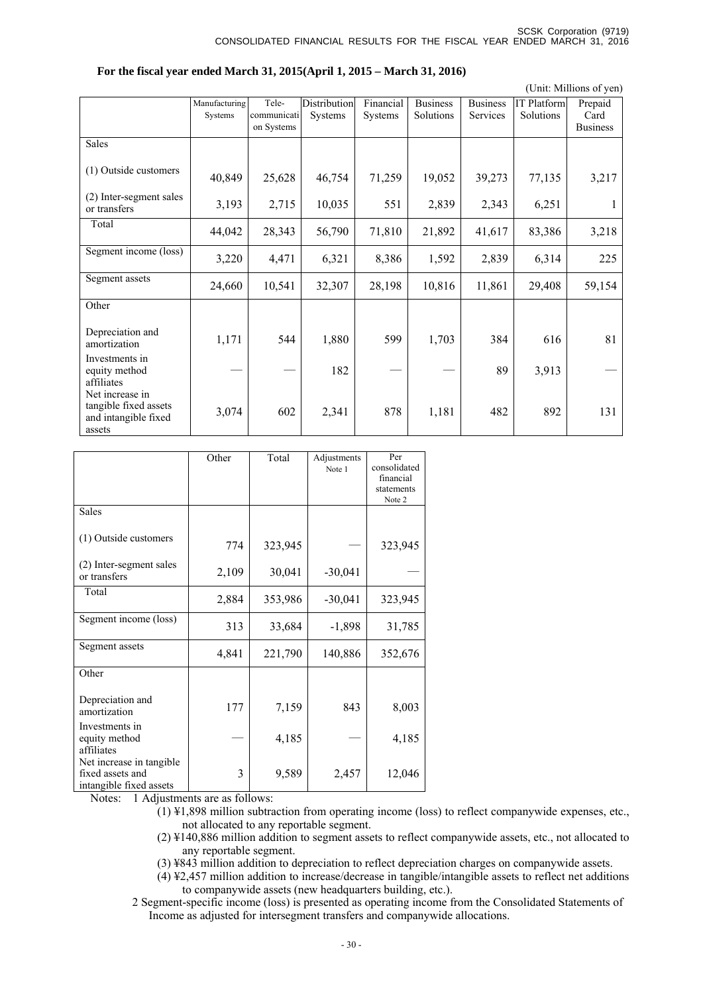(Unit: Millions of yen)

|                                                                            | Manufacturing<br>Systems | Tele-<br>communicati<br>on Systems | <b>Distribution</b><br><b>Systems</b> | Financial<br><b>Systems</b> | <b>Business</b><br>Solutions | <b>Business</b><br><b>Services</b> | <b>IT Platform</b><br>Solutions | Prepaid<br>Card<br><b>Business</b> |
|----------------------------------------------------------------------------|--------------------------|------------------------------------|---------------------------------------|-----------------------------|------------------------------|------------------------------------|---------------------------------|------------------------------------|
| Sales                                                                      |                          |                                    |                                       |                             |                              |                                    |                                 |                                    |
| (1) Outside customers                                                      | 40,849                   | 25,628                             | 46,754                                | 71,259                      | 19,052                       | 39,273                             | 77,135                          | 3,217                              |
| (2) Inter-segment sales<br>or transfers                                    | 3,193                    | 2,715                              | 10,035                                | 551                         | 2,839                        | 2,343                              | 6,251                           | 1                                  |
| Total                                                                      | 44,042                   | 28,343                             | 56,790                                | 71,810                      | 21,892                       | 41,617                             | 83,386                          | 3,218                              |
| Segment income (loss)                                                      | 3,220                    | 4,471                              | 6,321                                 | 8,386                       | 1,592                        | 2,839                              | 6,314                           | 225                                |
| Segment assets                                                             | 24,660                   | 10,541                             | 32,307                                | 28,198                      | 10,816                       | 11,861                             | 29,408                          | 59,154                             |
| Other                                                                      |                          |                                    |                                       |                             |                              |                                    |                                 |                                    |
| Depreciation and<br>amortization                                           | 1,171                    | 544                                | 1,880                                 | 599                         | 1,703                        | 384                                | 616                             | 81                                 |
| Investments in<br>equity method<br>affiliates                              |                          |                                    | 182                                   |                             |                              | 89                                 | 3,913                           |                                    |
| Net increase in<br>tangible fixed assets<br>and intangible fixed<br>assets | 3,074                    | 602                                | 2,341                                 | 878                         | 1,181                        | 482                                | 892                             | 131                                |

|  |  |  |  | For the fiscal year ended March 31, 2015(April 1, 2015 – March 31, 2016) |  |
|--|--|--|--|--------------------------------------------------------------------------|--|
|  |  |  |  |                                                                          |  |

|                                                                         | Other | Total   | Adjustments<br>Note 1 | Per<br>consolidated<br>financial<br>statements<br>Note 2 |
|-------------------------------------------------------------------------|-------|---------|-----------------------|----------------------------------------------------------|
| <b>Sales</b>                                                            |       |         |                       |                                                          |
| (1) Outside customers                                                   | 774   | 323,945 |                       | 323,945                                                  |
| (2) Inter-segment sales<br>or transfers                                 | 2,109 | 30,041  | $-30,041$             |                                                          |
| Total                                                                   | 2,884 | 353,986 | $-30,041$             | 323,945                                                  |
| Segment income (loss)                                                   | 313   | 33,684  | $-1,898$              | 31,785                                                   |
| Segment assets                                                          | 4,841 | 221,790 | 140,886               | 352,676                                                  |
| Other                                                                   |       |         |                       |                                                          |
| Depreciation and<br>amortization                                        | 177   | 7,159   | 843                   | 8,003                                                    |
| Investments in<br>equity method<br>affiliates                           |       | 4,185   |                       | 4,185                                                    |
| Net increase in tangible<br>fixed assets and<br>intangible fixed assets | 3     | 9,589   | 2,457                 | 12,046                                                   |

Notes: 1 Adjustments are as follows:

- $(1)$  ¥1,898 million subtraction from operating income (loss) to reflect companywide expenses, etc., not allocated to any reportable segment.
- (2) ¥140,886 million addition to segment assets to reflect companywide assets, etc., not allocated to any reportable segment.
- (3) ¥843 million addition to depreciation to reflect depreciation charges on companywide assets.
- (4) ¥2,457 million addition to increase/decrease in tangible/intangible assets to reflect net additions to companywide assets (new headquarters building, etc.).
- 2 Segment-specific income (loss) is presented as operating income from the Consolidated Statements of Income as adjusted for intersegment transfers and companywide allocations.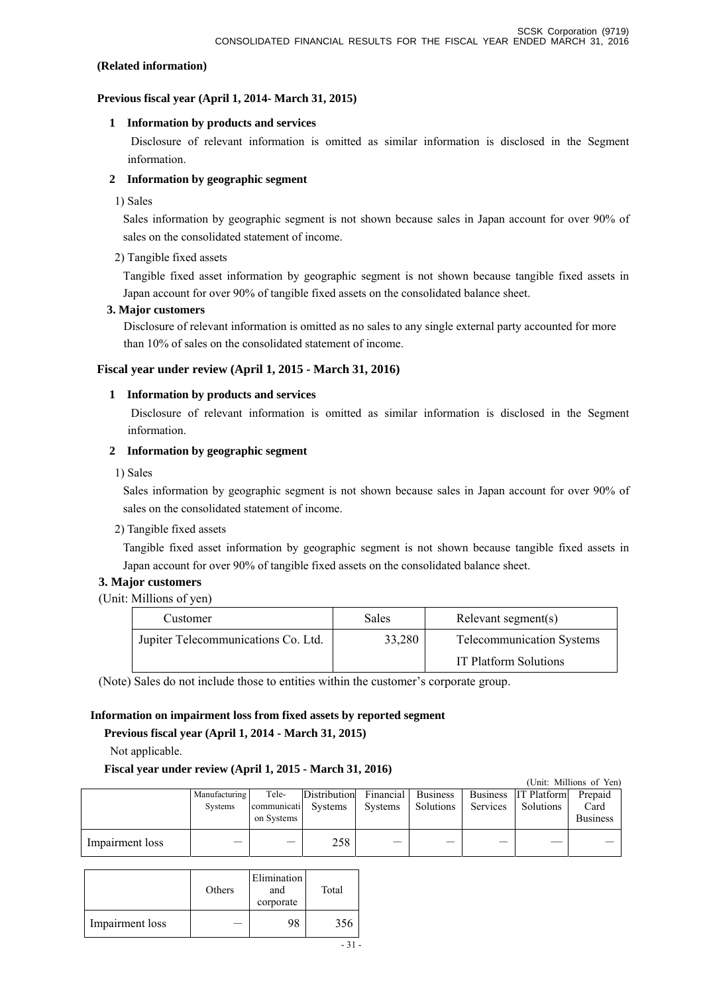### **(Related information)**

### **Previous fiscal year (April 1, 2014- March 31, 2015)**

## **1 Information by products and services**

 Disclosure of relevant information is omitted as similar information is disclosed in the Segment information.

## **2 Information by geographic segment**

1) Sales

Sales information by geographic segment is not shown because sales in Japan account for over 90% of sales on the consolidated statement of income.

## 2) Tangible fixed assets

Tangible fixed asset information by geographic segment is not shown because tangible fixed assets in Japan account for over 90% of tangible fixed assets on the consolidated balance sheet.

## **3. Major customers**

Disclosure of relevant information is omitted as no sales to any single external party accounted for more than 10% of sales on the consolidated statement of income.

## **Fiscal year under review (April 1, 2015 - March 31, 2016)**

## **1 Information by products and services**

 Disclosure of relevant information is omitted as similar information is disclosed in the Segment information.

## **2 Information by geographic segment**

1) Sales

Sales information by geographic segment is not shown because sales in Japan account for over 90% of sales on the consolidated statement of income.

2) Tangible fixed assets

Tangible fixed asset information by geographic segment is not shown because tangible fixed assets in Japan account for over 90% of tangible fixed assets on the consolidated balance sheet.

# **3. Major customers**

(Unit: Millions of yen)

| Customer                            | <b>Sales</b> | Relevant segment(s)              |
|-------------------------------------|--------------|----------------------------------|
| Jupiter Telecommunications Co. Ltd. | 33,280       | <b>Telecommunication Systems</b> |
|                                     |              | <b>IT Platform Solutions</b>     |

(Note) Sales do not include those to entities within the customer's corporate group.

# **Information on impairment loss from fixed assets by reported segment**

# **Previous fiscal year (April 1, 2014 - March 31, 2015)**

Not applicable.

## **Fiscal year under review (April 1, 2015 - March 31, 2016)**

|                 |                          |                                            |              |                      |                              |                             |                                 | (Unit: Millions of Yen)            |
|-----------------|--------------------------|--------------------------------------------|--------------|----------------------|------------------------------|-----------------------------|---------------------------------|------------------------------------|
|                 | Manufacturing<br>Systems | Tele-<br>communicati Systems<br>on Systems | Distribution | Financial<br>Systems | <b>Business</b><br>Solutions | <b>Business</b><br>Services | <b>IT Platform</b><br>Solutions | Prepaid<br>Card<br><b>Business</b> |
| Impairment loss |                          |                                            | 258          | —                    |                              |                             |                                 |                                    |

|                 | Others | Elimination<br>and<br>corporate | Total |
|-----------------|--------|---------------------------------|-------|
| Impairment loss |        | 98                              | 356   |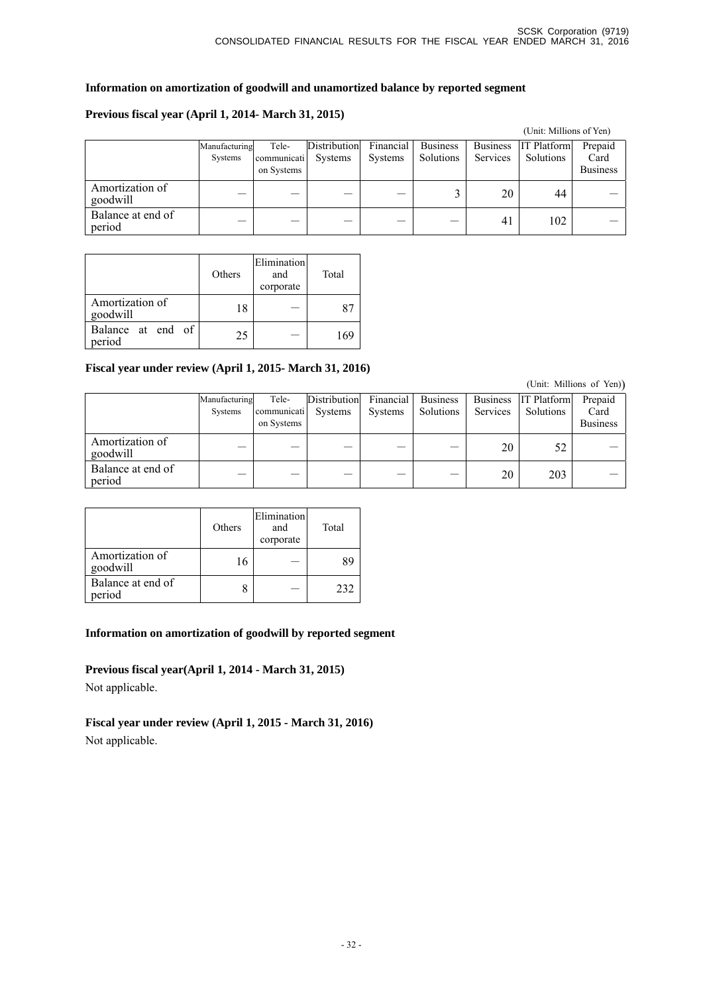# **Information on amortization of goodwill and unamortized balance by reported segment**

# **Previous fiscal year (April 1, 2014- March 31, 2015)**

|                             |                          |                                    |                                |                             |                              |                                    | (Unit: Millions of Yen)         |                                    |
|-----------------------------|--------------------------|------------------------------------|--------------------------------|-----------------------------|------------------------------|------------------------------------|---------------------------------|------------------------------------|
|                             | Manufacturing<br>Systems | Tele-<br>communicati<br>on Systems | Distribution<br><b>Systems</b> | Financial<br><b>Systems</b> | <b>Business</b><br>Solutions | <b>Business</b><br><b>Services</b> | <b>IT Platform</b><br>Solutions | Prepaid<br>Card<br><b>Business</b> |
| Amortization of<br>goodwill |                          |                                    |                                |                             |                              | 20                                 | 44                              |                                    |
| Balance at end of<br>period |                          |                                    |                                |                             |                              | 41                                 | 102                             |                                    |

|                             | Others | Elimination<br>and<br>corporate | Total |
|-----------------------------|--------|---------------------------------|-------|
| Amortization of<br>goodwill | 18     |                                 |       |
| Balance at end of<br>period | 25     |                                 | 169   |

## **Fiscal year under review (April 1, 2015- March 31, 2016)**

Manufacturing Systems Telecommunicati on Systems Distribution Systems Financial Systems Business Solutions Business Services IT Platform Solutions Prepaid Card Business Amortization of<br>goodwill Amortization of  $20$   $52$   $-$ Balance at end of period - - - - - 20 203 -

|                             | Others | Elimination<br>and<br>corporate | Total |
|-----------------------------|--------|---------------------------------|-------|
| Amortization of<br>goodwill | 16     |                                 | 89    |
| Balance at end of<br>period |        |                                 | 232   |

# **Information on amortization of goodwill by reported segment**

**Previous fiscal year(April 1, 2014 - March 31, 2015)**  Not applicable.

**Fiscal year under review (April 1, 2015 - March 31, 2016)**  Not applicable.

(Unit: Millions of Yen))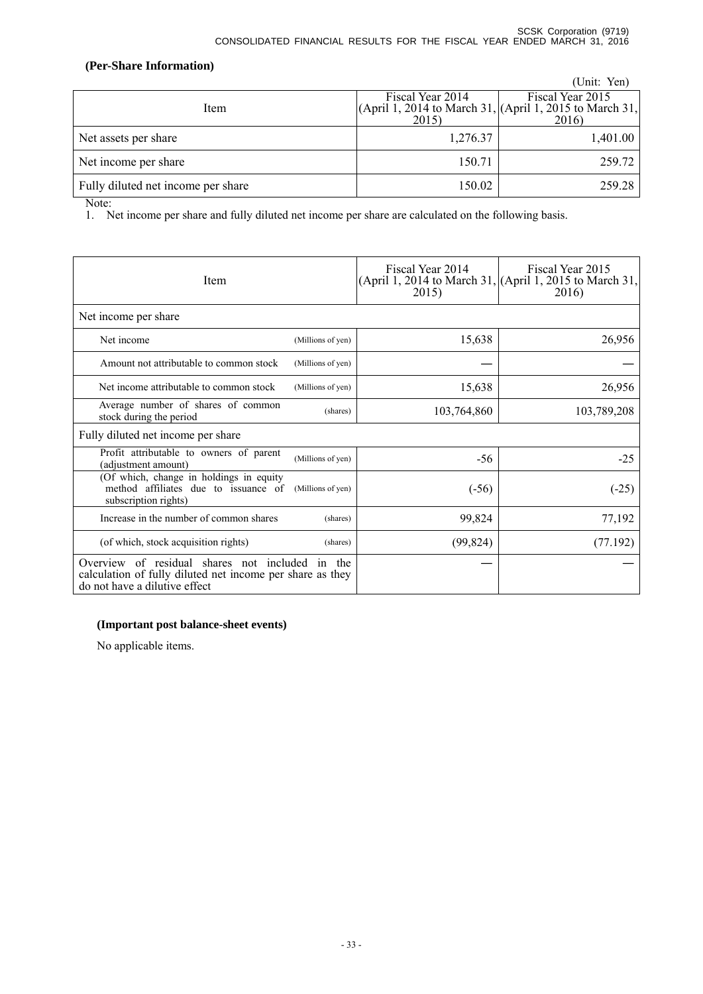# **(Per-Share Information)**

|                                    |                                                                              | (Unit: Yen)      |
|------------------------------------|------------------------------------------------------------------------------|------------------|
|                                    | Fiscal Year 2014<br>(April 1, 2014 to March 31, $(Apri 1, 2015$ to March 31, | Fiscal Year 2015 |
| Item                               | 2015)                                                                        | 2016)            |
| Net assets per share               | 1,276.37                                                                     | 1,401.00         |
| Net income per share               | 150.71                                                                       | 259.72           |
| Fully diluted net income per share | 150.02                                                                       | 259.28           |

Note:

1. Net income per share and fully diluted net income per share are calculated on the following basis.

| Item                                                                                                                                          |                   | Fiscal Year 2014<br>2015) | Fiscal Year 2015<br>(April 1, 2014 to March 31, (April 1, 2015 to March 31,<br>2016) |
|-----------------------------------------------------------------------------------------------------------------------------------------------|-------------------|---------------------------|--------------------------------------------------------------------------------------|
| Net income per share                                                                                                                          |                   |                           |                                                                                      |
| Net income                                                                                                                                    | (Millions of yen) | 15,638                    | 26,956                                                                               |
| Amount not attributable to common stock                                                                                                       | (Millions of yen) |                           |                                                                                      |
| Net income attributable to common stock                                                                                                       | (Millions of yen) | 15,638                    | 26,956                                                                               |
| Average number of shares of common<br>stock during the period                                                                                 | (shares)          | 103,764,860               | 103,789,208                                                                          |
| Fully diluted net income per share                                                                                                            |                   |                           |                                                                                      |
| Profit attributable to owners of parent<br>(adjustment amount)                                                                                | (Millions of yen) | -56                       | $-25$                                                                                |
| (Of which, change in holdings in equity<br>method affiliates due to issuance of<br>subscription rights)                                       | (Millions of yen) | $(-56)$                   | $(-25)$                                                                              |
| Increase in the number of common shares                                                                                                       | (shares)          | 99,824                    | 77,192                                                                               |
| (of which, stock acquisition rights)                                                                                                          | (shares)          | (99, 824)                 | (77.192)                                                                             |
| Overview of residual shares not included in the<br>calculation of fully diluted net income per share as they<br>do not have a dilutive effect |                   |                           |                                                                                      |

## **(Important post balance-sheet events)**

No applicable items.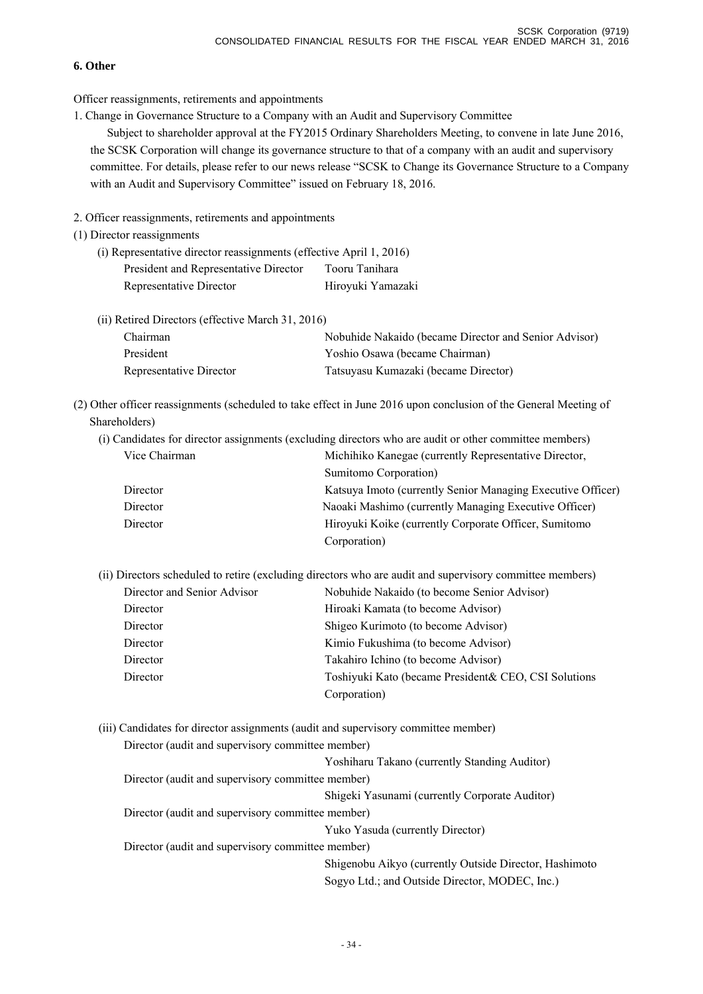## **6. Other**

Officer reassignments, retirements and appointments

1. Change in Governance Structure to a Company with an Audit and Supervisory Committee

Subject to shareholder approval at the FY2015 Ordinary Shareholders Meeting, to convene in late June 2016, the SCSK Corporation will change its governance structure to that of a company with an audit and supervisory committee. For details, please refer to our news release "SCSK to Change its Governance Structure to a Company with an Audit and Supervisory Committee" issued on February 18, 2016.

2. Officer reassignments, retirements and appointments

- (1) Director reassignments
	- (i) Representative director reassignments (effective April 1, 2016) President and Representative Director Tooru Tanihara Representative Director Hiroyuki Yamazaki
	- (ii) Retired Directors (effective March 31, 2016) Chairman Nobuhide Nakaido (became Director and Senior Advisor) President Yoshio Osawa (became Chairman) Representative Director Tatsuyasu Kumazaki (became Director)
- (2) Other officer reassignments (scheduled to take effect in June 2016 upon conclusion of the General Meeting of Shareholders)
	- (i) Candidates for director assignments (excluding directors who are audit or other committee members) Vice Chairman Michihiko Kanegae (currently Representative Director, Sumitomo Corporation) Director Katsuya Imoto (currently Senior Managing Executive Officer) Director Naoaki Mashimo (currently Managing Executive Officer) Director Hiroyuki Koike (currently Corporate Officer, Sumitomo Corporation)
	- (ii) Directors scheduled to retire (excluding directors who are audit and supervisory committee members) Director and Senior Advisor Nobuhide Nakaido (to become Senior Advisor) Director Hiroaki Kamata (to become Advisor) Director Shigeo Kurimoto (to become Advisor) Director Kimio Fukushima (to become Advisor) Director Takahiro Ichino (to become Advisor) Director Toshiyuki Kato (became President& CEO, CSI Solutions

Corporation)

(iii) Candidates for director assignments (audit and supervisory committee member) Director (audit and supervisory committee member)

|                                                   | Yoshiharu Takano (currently Standing Auditor)          |
|---------------------------------------------------|--------------------------------------------------------|
| Director (audit and supervisory committee member) |                                                        |
|                                                   | Shigeki Yasunami (currently Corporate Auditor)         |
| Director (audit and supervisory committee member) |                                                        |
|                                                   | Yuko Yasuda (currently Director)                       |
| Director (audit and supervisory committee member) |                                                        |
|                                                   | Shigenobu Aikyo (currently Outside Director, Hashimoto |
|                                                   | Sogyo Ltd.; and Outside Director, MODEC, Inc.)         |